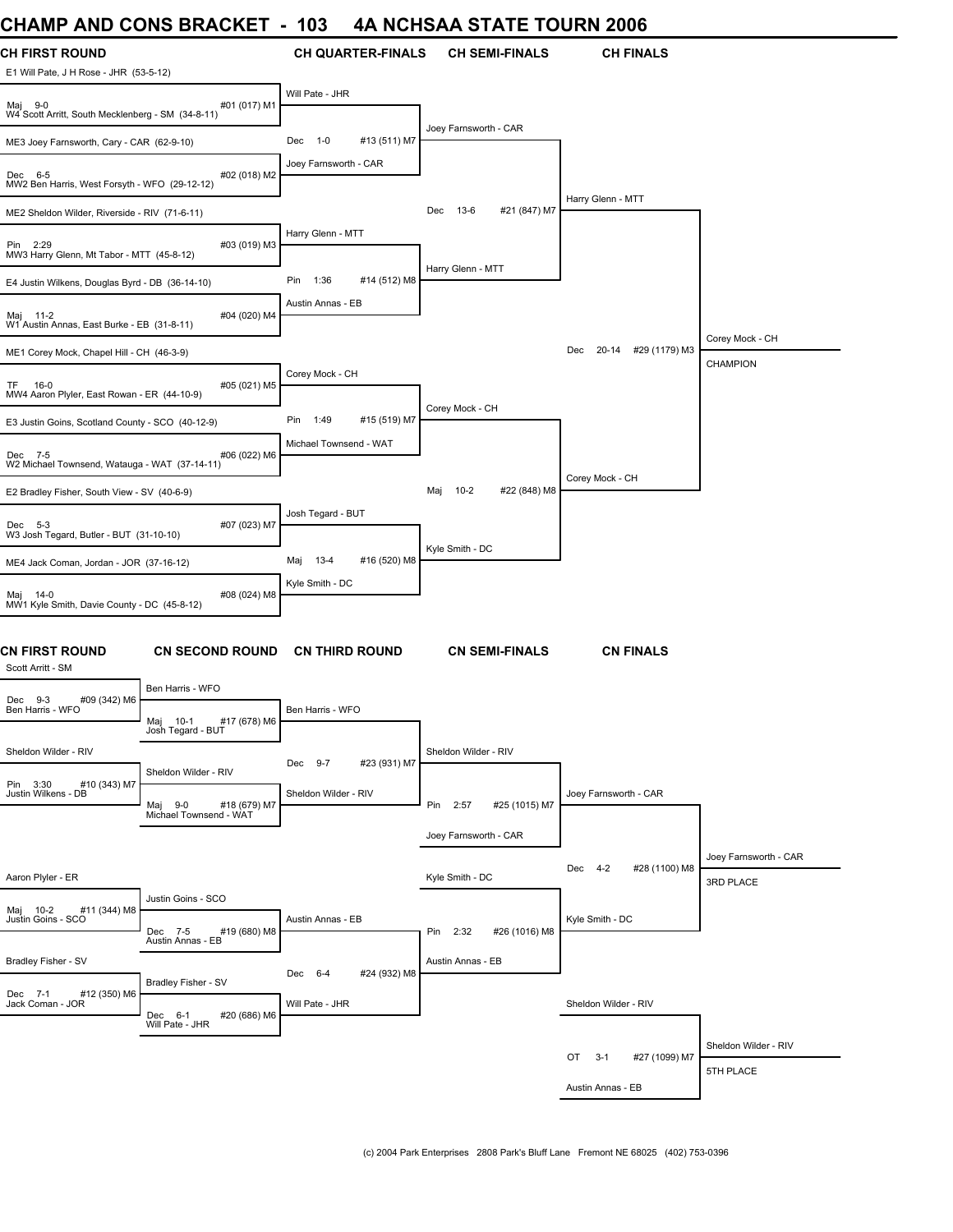# **CHAMP AND CONS BRACKET - 103 4A NCHSAA STATE TOURN 2006**

| <b>УНАМГ</b>                                                 | <b>AIND ACINA DIVANILE</b>                                             | טטו                            | <b>TA NUTIONA UTATE TUURN 2000</b> |                               |                       |
|--------------------------------------------------------------|------------------------------------------------------------------------|--------------------------------|------------------------------------|-------------------------------|-----------------------|
| CH FIRST ROUND<br>E1 Will Pate, J H Rose - JHR (53-5-12)     |                                                                        | <b>CH QUARTER-FINALS</b>       | <b>CH SEMI-FINALS</b>              | <b>CH FINALS</b>              |                       |
| Maj 9-0<br>W4 Scott Arritt, South Mecklenberg - SM (34-8-11) | #01 (017) M1                                                           | Will Pate - JHR                |                                    |                               |                       |
| ME3 Joey Farnsworth, Cary - CAR (62-9-10)                    |                                                                        | $1 - 0$<br>#13 (511) M7<br>Dec | Joey Farnsworth - CAR              |                               |                       |
| Dec 6-5<br>MW2 Ben Harris, West Forsyth - WFO (29-12-12)     | #02 (018) M2                                                           | Joey Farnsworth - CAR          |                                    |                               |                       |
| ME2 Sheldon Wilder, Riverside - RIV (71-6-11)                |                                                                        |                                | #21 (847) M7<br>13-6<br>Dec        | Harry Glenn - MTT             |                       |
| Pin 2:29<br>MW3 Harry Glenn, Mt Tabor - MTT (45-8-12)        | #03 (019) M3                                                           | Harry Glenn - MTT              |                                    |                               |                       |
| E4 Justin Wilkens, Douglas Byrd - DB (36-14-10)              |                                                                        | 1:36<br>#14 (512) M8<br>Pin    | Harry Glenn - MTT                  |                               |                       |
| Maj 11-2<br>W1 Austin Annas, East Burke - EB (31-8-11)       | #04 (020) M4                                                           | Austin Annas - EB              |                                    |                               |                       |
| ME1 Corey Mock, Chapel Hill - CH (46-3-9)                    |                                                                        |                                |                                    | 20-14 #29 (1179) M3<br>Dec    | Corey Mock - CH       |
|                                                              |                                                                        | Corey Mock - CH                |                                    |                               | <b>CHAMPION</b>       |
| TF 16-0<br>MW4 Aaron Plyler, East Rowan - ER (44-10-9)       | #05 (021) M5                                                           |                                |                                    |                               |                       |
| E3 Justin Goins, Scotland County - SCO (40-12-9)             |                                                                        | 1:49<br>#15 (519) M7<br>Pin    | Corey Mock - CH                    |                               |                       |
| Dec 7-5                                                      | #06 (022) M6                                                           | Michael Townsend - WAT         |                                    |                               |                       |
| W2 Michael Townsend, Watauga - WAT (37-14-11)                |                                                                        |                                |                                    | Corey Mock - CH               |                       |
| E2 Bradley Fisher, South View - SV (40-6-9)                  |                                                                        |                                | $10 - 2$<br>#22 (848) M8<br>Maj    |                               |                       |
| Dec 5-3                                                      | #07 (023) M7                                                           | Josh Tegard - BUT              |                                    |                               |                       |
| W3 Josh Tegard, Butler - BUT (31-10-10)                      |                                                                        |                                | Kyle Smith - DC                    |                               |                       |
| ME4 Jack Coman, Jordan - JOR (37-16-12)                      |                                                                        | Maj 13-4<br>#16 (520) M8       |                                    |                               |                       |
| Maj 14-0<br>MW1 Kyle Smith, Davie County - DC (45-8-12)      | #08 (024) M8                                                           | Kyle Smith - DC                |                                    |                               |                       |
| <b>CN FIRST ROUND</b><br>Scott Arritt - SM                   | <b>CN SECOND ROUND</b>                                                 | <b>CN THIRD ROUND</b>          | <b>CN SEMI-FINALS</b>              | <b>CN FINALS</b>              |                       |
| #09 (342) M6<br>Dec 9-3                                      | Ben Harris - WFO                                                       |                                |                                    |                               |                       |
| Ben Harris - WFO                                             | #17 (678) M6<br>Maj 10-1<br>Josh Tegard - BUT                          | Ben Harris - WFO               |                                    |                               |                       |
| Sheldon Wilder - RIV                                         |                                                                        | #23 (931) M7<br>Dec 9-7        | Sheldon Wilder - RIV               |                               |                       |
| Pin 3:30<br>#10 (343) M7<br>Justin Wilkens - DB              | Sheldon Wilder - RIV<br>Maj 9-0 #18 (679) M7<br>Michael Townsend - WAT | Sheldon Wilder - RIV           | Pin 2:57<br>#25 (1015) M7          | Joey Farnsworth - CAR         |                       |
|                                                              |                                                                        |                                | Joey Farnsworth - CAR              |                               |                       |
|                                                              |                                                                        |                                |                                    |                               | Joey Farnsworth - CAR |
| Aaron Plyler - ER                                            |                                                                        |                                | Kyle Smith - DC                    | $4-2$<br>#28 (1100) M8<br>Dec | 3RD PLACE             |
| #11 (344) M8<br>Maj 10-2                                     | Justin Goins - SCO                                                     |                                |                                    |                               |                       |
| Justin Goins - SCO                                           | #19 (680) M8<br>Dec 7-5<br>Austin Annas - EB                           | Austin Annas - EB              | Pin 2:32<br>#26 (1016) M8          | Kyle Smith - DC               |                       |
| Bradley Fisher - SV                                          |                                                                        | Dec 6-4<br>#24 (932) M8        | Austin Annas - EB                  |                               |                       |
| #12 (350) M6<br>Dec 7-1<br>Jack Coman - JOR                  | Bradley Fisher - SV<br>Dec 6-1<br>#20 (686) M6                         | Will Pate - JHR                |                                    | Sheldon Wilder - RIV          |                       |
|                                                              | Will Pate - JHR                                                        |                                |                                    |                               | Sheldon Wilder - RIV  |
|                                                              |                                                                        |                                |                                    | OT<br>$3-1$<br>#27 (1099) M7  | 5TH PLACE             |
|                                                              |                                                                        |                                |                                    | Austin Annas - EB             |                       |
|                                                              |                                                                        |                                |                                    |                               |                       |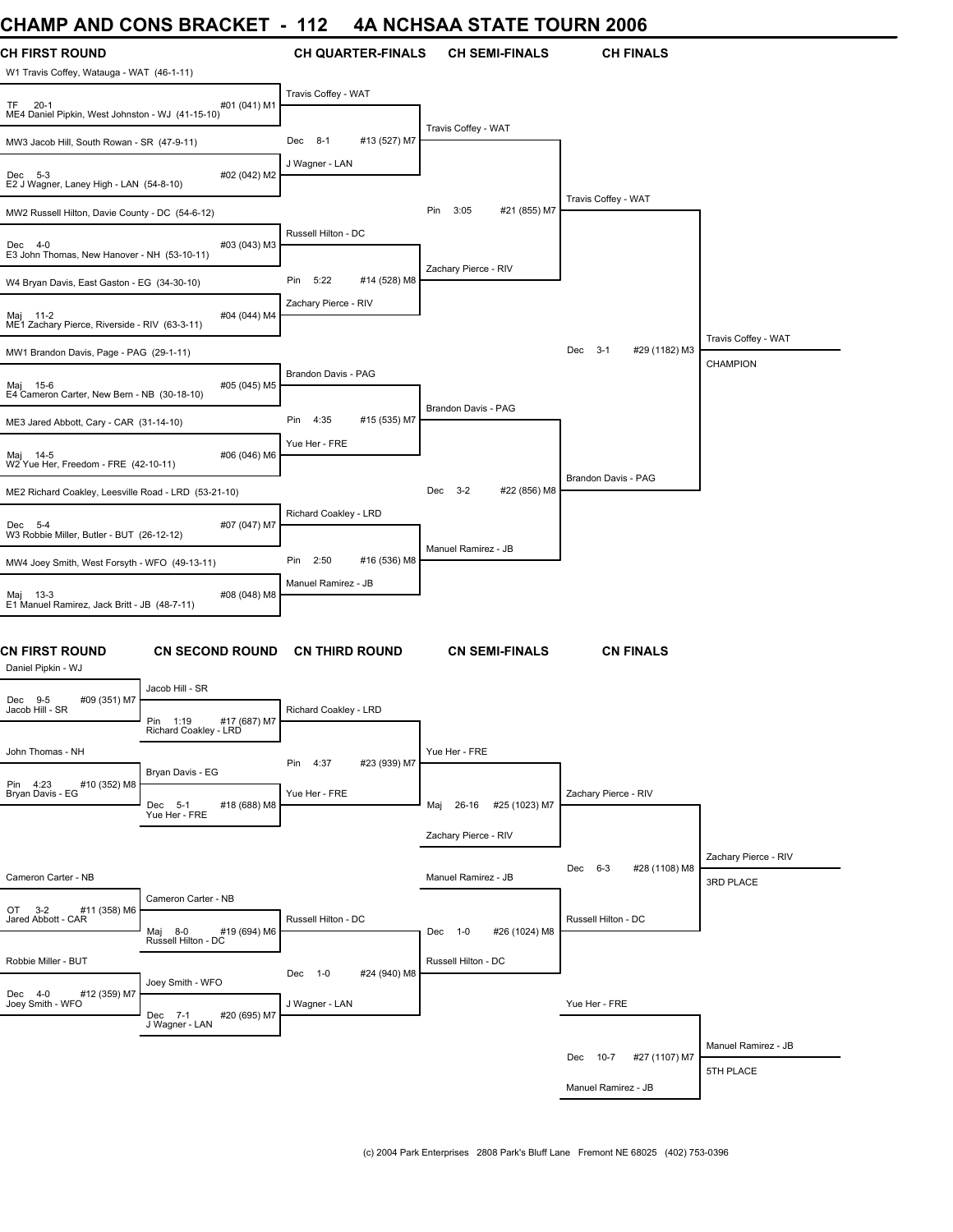# **CHAMP AND CONS BRACKET - 112 4A NCHSAA STATE TOURN 2006**

| UNAIVIM AINU UUNJ DRAUNET                                        |                                                   | - 114                 |                          | 4A NGHSAA STATE TOURN 2006     |                                 |                      |
|------------------------------------------------------------------|---------------------------------------------------|-----------------------|--------------------------|--------------------------------|---------------------------------|----------------------|
| <b>CH FIRST ROUND</b>                                            |                                                   |                       | <b>CH QUARTER-FINALS</b> | <b>CH SEMI-FINALS</b>          | <b>CH FINALS</b>                |                      |
| W1 Travis Coffey, Watauga - WAT (46-1-11)                        |                                                   |                       |                          |                                |                                 |                      |
| TF<br>$20-1$<br>ME4 Daniel Pipkin, West Johnston - WJ (41-15-10) | #01 (041) M1                                      | Travis Coffey - WAT   |                          |                                |                                 |                      |
| MW3 Jacob Hill, South Rowan - SR (47-9-11)                       |                                                   | Dec 8-1               | #13 (527) M7             | Travis Coffey - WAT            |                                 |                      |
| Dec 5-3<br>E2 J Wagner, Laney High - LAN (54-8-10)               | #02 (042) M2                                      | J Wagner - LAN        |                          |                                |                                 |                      |
| MW2 Russell Hilton, Davie County - DC (54-6-12)                  |                                                   |                       |                          | #21 (855) M7<br>Pin<br>3:05    | Travis Coffey - WAT             |                      |
| Dec 4-0<br>E3 John Thomas, New Hanover - NH (53-10-11)           | #03 (043) M3                                      | Russell Hilton - DC   |                          |                                |                                 |                      |
| W4 Bryan Davis, East Gaston - EG (34-30-10)                      |                                                   | Pin<br>5:22           | #14 (528) M8             | Zachary Pierce - RIV           |                                 |                      |
| Maj 11-2<br>ME1 Zachary Pierce, Riverside - RIV (63-3-11)        | #04 (044) M4                                      | Zachary Pierce - RIV  |                          |                                |                                 |                      |
| MW1 Brandon Davis, Page - PAG (29-1-11)                          |                                                   |                       |                          |                                | $3 - 1$<br>#29 (1182) M3<br>Dec | Travis Coffey - WAT  |
|                                                                  |                                                   | Brandon Davis - PAG   |                          |                                |                                 | <b>CHAMPION</b>      |
| Maj 15-6<br>E4 Cameron Carter, New Bern - NB (30-18-10)          | #05 (045) M5                                      |                       |                          | Brandon Davis - PAG            |                                 |                      |
| ME3 Jared Abbott, Cary - CAR (31-14-10)                          |                                                   | 4:35<br>Pin           | #15 (535) M7             |                                |                                 |                      |
| Maj 14-5<br>W2 Yue Her, Freedom - FRE (42-10-11)                 | #06 (046) M6                                      | Yue Her - FRE         |                          |                                |                                 |                      |
| ME2 Richard Coakley, Leesville Road - LRD (53-21-10)             |                                                   |                       |                          | #22 (856) M8<br>$3 - 2$<br>Dec | Brandon Davis - PAG             |                      |
| Dec 5-4<br>W3 Robbie Miller, Butler - BUT (26-12-12)             | #07 (047) M7                                      | Richard Coakley - LRD |                          |                                |                                 |                      |
| MW4 Joey Smith, West Forsyth - WFO (49-13-11)                    |                                                   | Pin<br>2:50           | #16 (536) M8             | Manuel Ramirez - JB            |                                 |                      |
| Maj 13-3<br>E1 Manuel Ramirez, Jack Britt - JB (48-7-11)         | #08 (048) M8                                      | Manuel Ramirez - JB   |                          |                                |                                 |                      |
| <b>CN FIRST ROUND</b><br>Daniel Pipkin - WJ                      | <b>CN SECOND ROUND</b>                            |                       | <b>CN THIRD ROUND</b>    | <b>CN SEMI-FINALS</b>          | <b>CN FINALS</b>                |                      |
| #09 (351) M7<br>Dec 9-5                                          | Jacob Hill - SR                                   |                       |                          |                                |                                 |                      |
| Jacob Hill - SR                                                  | Pin 1:19<br>#17 (687) M7<br>Richard Coakley - LRD | Richard Coakley - LRD |                          |                                |                                 |                      |
| John Thomas - NH                                                 |                                                   | Pin<br>4:37           | #23 (939) M7             | Yue Her - FRE                  |                                 |                      |
| Pin 4:23<br>#10 (352) M8<br>Bryan Davis - EG                     | Bryan Davis - EG<br>Dec 5-1<br>#18 (688) M8       | Yue Her - FRE         |                          | 26-16<br>#25 (1023) M7<br>Maj  | Zachary Pierce - RIV            |                      |
|                                                                  | Yue Her - FRE                                     |                       |                          | Zachary Pierce - RIV           |                                 |                      |
|                                                                  |                                                   |                       |                          |                                |                                 | Zachary Pierce - RIV |
| Cameron Carter - NB                                              |                                                   |                       |                          | Manuel Ramirez - JB            | $6 - 3$<br>#28 (1108) M8<br>Dec | 3RD PLACE            |
| OT 3-2<br>#11 (358) M6<br>Jared Abbott - CAR                     | Cameron Carter - NB                               | Russell Hilton - DC   |                          |                                | Russell Hilton - DC             |                      |
|                                                                  | #19 (694) M6<br>Maj 8-0<br>Russell Hilton - DC    |                       |                          | Dec 1-0<br>#26 (1024) M8       |                                 |                      |
| Robbie Miller - BUT                                              |                                                   | Dec 1-0               | #24 (940) M8             | Russell Hilton - DC            |                                 |                      |
| #12 (359) M7<br>Dec 4-0<br>Joey Smith - WFO                      | Joey Smith - WFO<br>Dec 7-1<br>#20 (695) M7       | J Wagner - LAN        |                          |                                | Yue Her - FRE                   |                      |
|                                                                  | J Wagner - LAN                                    |                       |                          |                                |                                 | Manuel Ramirez - JB  |
|                                                                  |                                                   |                       |                          |                                | Dec 10-7<br>#27 (1107) M7       | 5TH PLACE            |
|                                                                  |                                                   |                       |                          |                                | Manuel Ramirez - JB             |                      |
|                                                                  |                                                   |                       |                          |                                |                                 |                      |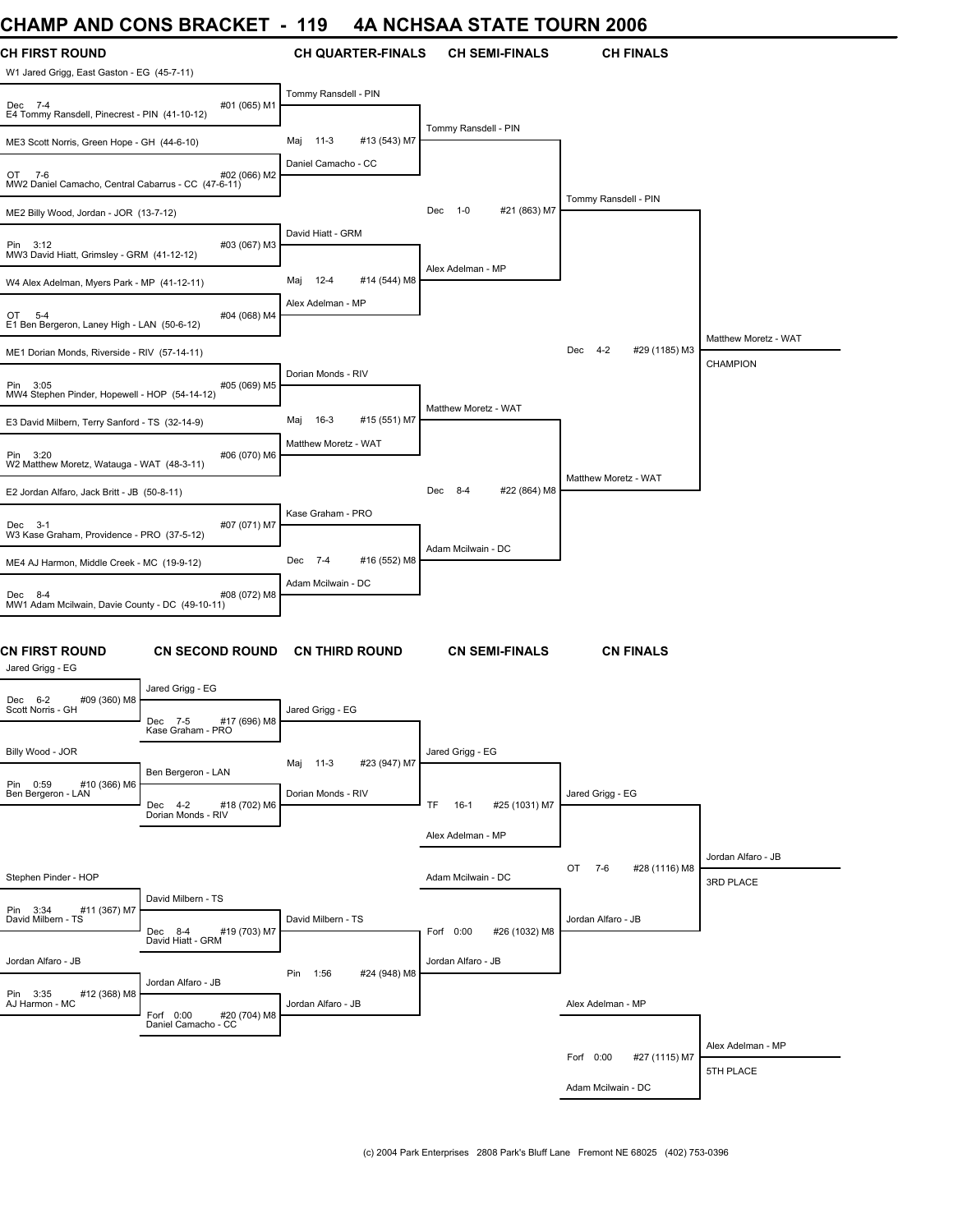# **CHAMP AND CONS BRACKET - 119 4A NCHSAA STATE TOURN 2006**

| ᄓᇅᇅ                                                                 | <b>AIND ANIA PINANNET</b>                                        | ט ו                                               | <del>I</del> A NUHUAA JIATE TUUNN 2000 |                                 |                                         |
|---------------------------------------------------------------------|------------------------------------------------------------------|---------------------------------------------------|----------------------------------------|---------------------------------|-----------------------------------------|
| <b>CH FIRST ROUND</b><br>W1 Jared Grigg, East Gaston - EG (45-7-11) |                                                                  | <b>CH QUARTER-FINALS</b>                          | <b>CH SEMI-FINALS</b>                  | <b>CH FINALS</b>                |                                         |
| Dec 7-4<br>E4 Tommy Ransdell, Pinecrest - PIN (41-10-12)            | #01 (065) M1                                                     | Tommy Ransdell - PIN                              |                                        |                                 |                                         |
| ME3 Scott Norris, Green Hope - GH (44-6-10)                         |                                                                  | 11-3<br>#13 (543) M7<br>Maj                       | Tommy Ransdell - PIN                   |                                 |                                         |
| OT<br>7-6<br>MW2 Daniel Camacho, Central Cabarrus - CC (47-6-11)    | #02 (066) M2                                                     | Daniel Camacho - CC                               |                                        |                                 |                                         |
| ME2 Billy Wood, Jordan - JOR (13-7-12)                              |                                                                  |                                                   | $1 - 0$<br>#21 (863) M7<br>Dec         | Tommy Ransdell - PIN            |                                         |
| Pin 3:12<br>MW3 David Hiatt, Grimsley - GRM (41-12-12)              | #03 (067) M3                                                     | David Hiatt - GRM                                 |                                        |                                 |                                         |
| W4 Alex Adelman, Myers Park - MP (41-12-11)                         |                                                                  | 12-4<br>#14 (544) M8<br>Maj                       | Alex Adelman - MP                      |                                 |                                         |
| OT 5-4<br>E1 Ben Bergeron, Laney High - LAN (50-6-12)               | #04 (068) M4                                                     | Alex Adelman - MP                                 |                                        |                                 |                                         |
| ME1 Dorian Monds, Riverside - RIV (57-14-11)                        |                                                                  |                                                   |                                        | $4 - 2$<br>#29 (1185) M3<br>Dec | Matthew Moretz - WAT<br><b>CHAMPION</b> |
| Pin 3:05<br>MW4 Stephen Pinder, Hopewell - HOP (54-14-12)           | #05 (069) M5                                                     | Dorian Monds - RIV                                |                                        |                                 |                                         |
| E3 David Milbern, Terry Sanford - TS (32-14-9)                      |                                                                  | 16-3<br>#15 (551) M7<br>Maj                       | Matthew Moretz - WAT                   |                                 |                                         |
| Pin 3:20<br>W2 Matthew Moretz, Watauga - WAT (48-3-11)              | #06 (070) M6                                                     | Matthew Moretz - WAT                              |                                        |                                 |                                         |
| E2 Jordan Alfaro, Jack Britt - JB (50-8-11)                         |                                                                  |                                                   | $8 - 4$<br>#22 (864) M8<br>Dec         | Matthew Moretz - WAT            |                                         |
| Dec 3-1<br>W3 Kase Graham, Providence - PRO (37-5-12)               | #07 (071) M7                                                     | Kase Graham - PRO                                 |                                        |                                 |                                         |
| ME4 AJ Harmon, Middle Creek - MC (19-9-12)                          |                                                                  | Dec 7-4<br>#16 (552) M8                           | Adam Mcilwain - DC                     |                                 |                                         |
| Dec 8-4<br>MW1 Adam Mcilwain, Davie County - DC (49-10-11)          | #08 (072) M8                                                     | Adam Mcilwain - DC                                |                                        |                                 |                                         |
| CN FIRST ROUND<br>Jared Grigg - EG                                  | <b>CN SECOND ROUND</b>                                           | <b>CN THIRD ROUND</b>                             | <b>CN SEMI-FINALS</b>                  | <b>CN FINALS</b>                |                                         |
| Dec 6-2<br>#09 (360) M8<br>Scott Norris - GH                        | Jared Grigg - EG<br>#17 (696) M8<br>Dec 7-5<br>Kase Graham - PRO | Jared Grigg - EG                                  |                                        |                                 |                                         |
| Billy Wood - JOR                                                    |                                                                  |                                                   | Jared Grigg - EG                       |                                 |                                         |
| Pin 0:59<br>#10 (366) M6<br>Ben Bergeron - LAN                      | Ben Bergeron - LAN                                               | #23 (947) M7<br>11-3<br>Maj<br>Dorian Monds - RIV |                                        | Jared Grigg - EG                |                                         |
|                                                                     | Dec 4-2<br>#18 (702) M6<br>Dorian Monds - RIV                    |                                                   | TF.<br>$16-1$<br>#25 (1031) M7         |                                 |                                         |
|                                                                     |                                                                  |                                                   | Alex Adelman - MP                      |                                 | Jordan Alfaro - JB                      |
| Stephen Pinder - HOP                                                |                                                                  |                                                   | Adam Mcilwain - DC                     | OT<br>7-6<br>#28 (1116) M8      | 3RD PLACE                               |
| Pin 3:34<br>#11 (367) M7<br>David Milbern - TS                      | David Milbern - TS<br>#19 (703) M7<br>Dec 8-4                    | David Milbern - TS                                | #26 (1032) M8<br>Forf 0:00             | Jordan Alfaro - JB              |                                         |
| Jordan Alfaro - JB                                                  | David Hiatt - GRM                                                |                                                   | Jordan Alfaro - JB                     |                                 |                                         |
|                                                                     | Jordan Alfaro - JB                                               | Pin 1:56<br>#24 (948) M8                          |                                        |                                 |                                         |
| Pin 3:35<br>#12 (368) M8<br>AJ Harmon - MC                          | Forf 0:00<br>#20 (704) M8                                        | Jordan Alfaro - JB                                |                                        | Alex Adelman - MP               |                                         |
|                                                                     | Daniel Camacho - CC                                              |                                                   |                                        |                                 | Alex Adelman - MP                       |
|                                                                     |                                                                  |                                                   |                                        | Forf 0:00<br>#27 (1115) M7      | 5TH PLACE                               |
|                                                                     |                                                                  |                                                   |                                        | Adam Mcilwain - DC              |                                         |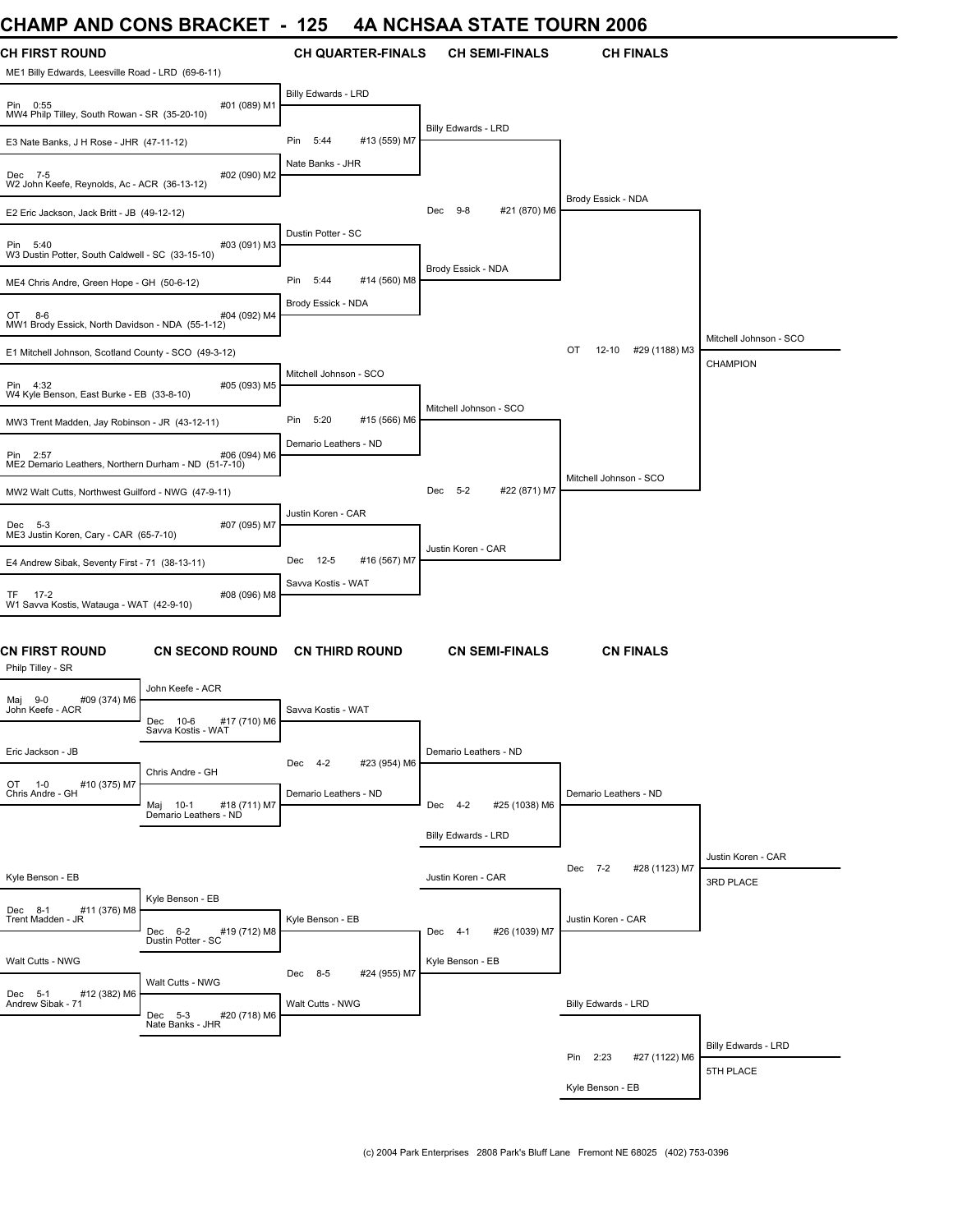# **CHAMP AND CONS BRACKET - 125 4A NCHSAA STATE TOURN 2006**

| UMANIP AND UUNG BRAUNET                                             |                                                   | ำ∠๖<br>$\sim$          |                          |                        |               | 4A NUMJAA JIAIE IUUKN 2006 |                                 |
|---------------------------------------------------------------------|---------------------------------------------------|------------------------|--------------------------|------------------------|---------------|----------------------------|---------------------------------|
| CH FIRST ROUND<br>ME1 Billy Edwards, Leesville Road - LRD (69-6-11) |                                                   |                        | <b>CH QUARTER-FINALS</b> | <b>CH SEMI-FINALS</b>  |               | <b>CH FINALS</b>           |                                 |
| Pin 0:55<br>MW4 Philp Tilley, South Rowan - SR (35-20-10)           | #01 (089) M1                                      | Billy Edwards - LRD    |                          |                        |               |                            |                                 |
| E3 Nate Banks, J H Rose - JHR (47-11-12)                            |                                                   | Pin<br>5:44            | #13 (559) M7             | Billy Edwards - LRD    |               |                            |                                 |
| Dec 7-5<br>W2 John Keefe, Reynolds, Ac - ACR (36-13-12)             | #02 (090) M2                                      | Nate Banks - JHR       |                          |                        |               |                            |                                 |
| E2 Eric Jackson, Jack Britt - JB (49-12-12)                         |                                                   |                        |                          | Dec 9-8                | #21 (870) M6  | Brody Essick - NDA         |                                 |
| Pin 5:40<br>W3 Dustin Potter, South Caldwell - SC (33-15-10)        | #03 (091) M3                                      | Dustin Potter - SC     |                          |                        |               |                            |                                 |
| ME4 Chris Andre, Green Hope - GH (50-6-12)                          |                                                   | Pin 5:44               | #14 (560) M8             | Brody Essick - NDA     |               |                            |                                 |
| OT 8-6<br>MW1 Brody Essick, North Davidson - NDA (55-1-12)          | #04 (092) M4                                      | Brody Essick - NDA     |                          |                        |               |                            |                                 |
| E1 Mitchell Johnson, Scotland County - SCO (49-3-12)                |                                                   |                        |                          |                        |               | OT<br>12-10 #29 (1188) M3  | Mitchell Johnson - SCO          |
| Pin 4:32<br>W4 Kyle Benson, East Burke - EB (33-8-10)               | #05 (093) M5                                      | Mitchell Johnson - SCO |                          |                        |               |                            | <b>CHAMPION</b>                 |
| MW3 Trent Madden, Jay Robinson - JR (43-12-11)                      |                                                   | Pin<br>5:20            | #15 (566) M6             | Mitchell Johnson - SCO |               |                            |                                 |
| Pin 2:57<br>ME2 Demario Leathers, Northern Durham - ND (51-7-10)    | #06 (094) M6                                      | Demario Leathers - ND  |                          |                        |               |                            |                                 |
| MW2 Walt Cutts, Northwest Guilford - NWG (47-9-11)                  |                                                   |                        |                          | Dec 5-2                | #22 (871) M7  | Mitchell Johnson - SCO     |                                 |
| Dec 5-3<br>ME3 Justin Koren, Cary - CAR (65-7-10)                   | #07 (095) M7                                      | Justin Koren - CAR     |                          |                        |               |                            |                                 |
| E4 Andrew Sibak, Seventy First - 71 (38-13-11)                      |                                                   | Dec 12-5               | #16 (567) M7             | Justin Koren - CAR     |               |                            |                                 |
| TF 17-2<br>W1 Savva Kostis, Watauga - WAT (42-9-10)                 | #08 (096) M8                                      | Savva Kostis - WAT     |                          |                        |               |                            |                                 |
| CN FIRST ROUND<br>Philp Tilley - SR                                 | CN SECOND ROUND CN THIRD ROUND                    |                        |                          | <b>CN SEMI-FINALS</b>  |               | <b>CN FINALS</b>           |                                 |
| #09 (374) M6<br>Maj 9-0                                             | John Keefe - ACR                                  |                        |                          |                        |               |                            |                                 |
| John Keefe - ACR                                                    | Dec 10-6<br>#17 (710) M6<br>Savva Kostis - WAT    | Savva Kostis - WAT     |                          |                        |               |                            |                                 |
| Eric Jackson - JB                                                   | Chris Andre - GH                                  | Dec 4-2                | #23 (954) M6             | Demario Leathers - ND  |               |                            |                                 |
| OT 1-0<br>#10 (375) M7<br>Chris Andre - GH                          | #18 (711) M7<br>Maj 10-1<br>Demario Leathers - ND | Demario Leathers - ND  |                          | Dec 4-2                | #25 (1038) M6 | Demario Leathers - ND      |                                 |
|                                                                     |                                                   |                        |                          | Billy Edwards - LRD    |               |                            |                                 |
| Kyle Benson - EB                                                    |                                                   |                        |                          | Justin Koren - CAR     |               | #28 (1123) M7<br>Dec 7-2   | Justin Koren - CAR<br>3RD PLACE |
| #11 (376) M8<br>Dec 8-1<br>Trent Madden - JR                        | Kyle Benson - EB<br>Dec 6-2<br>#19 (712) M8       | Kyle Benson - EB       |                          | Dec 4-1                | #26 (1039) M7 | Justin Koren - CAR         |                                 |
| Walt Cutts - NWG                                                    | Dustin Potter - SC                                |                        |                          | Kyle Benson - EB       |               |                            |                                 |
|                                                                     | Walt Cutts - NWG                                  | Dec 8-5                | #24 (955) M7             |                        |               |                            |                                 |
| Dec 5-1<br>#12 (382) M6<br>Andrew Sibak - 71                        | Dec 5-3<br>#20 (718) M6                           | Walt Cutts - NWG       |                          |                        |               | Billy Edwards - LRD        |                                 |
|                                                                     | Nate Banks - JHR                                  |                        |                          |                        |               |                            | Billy Edwards - LRD             |
|                                                                     |                                                   |                        |                          |                        |               | #27 (1122) M6<br>Pin 2:23  | 5TH PLACE                       |
|                                                                     |                                                   |                        |                          |                        |               | Kyle Benson - EB           |                                 |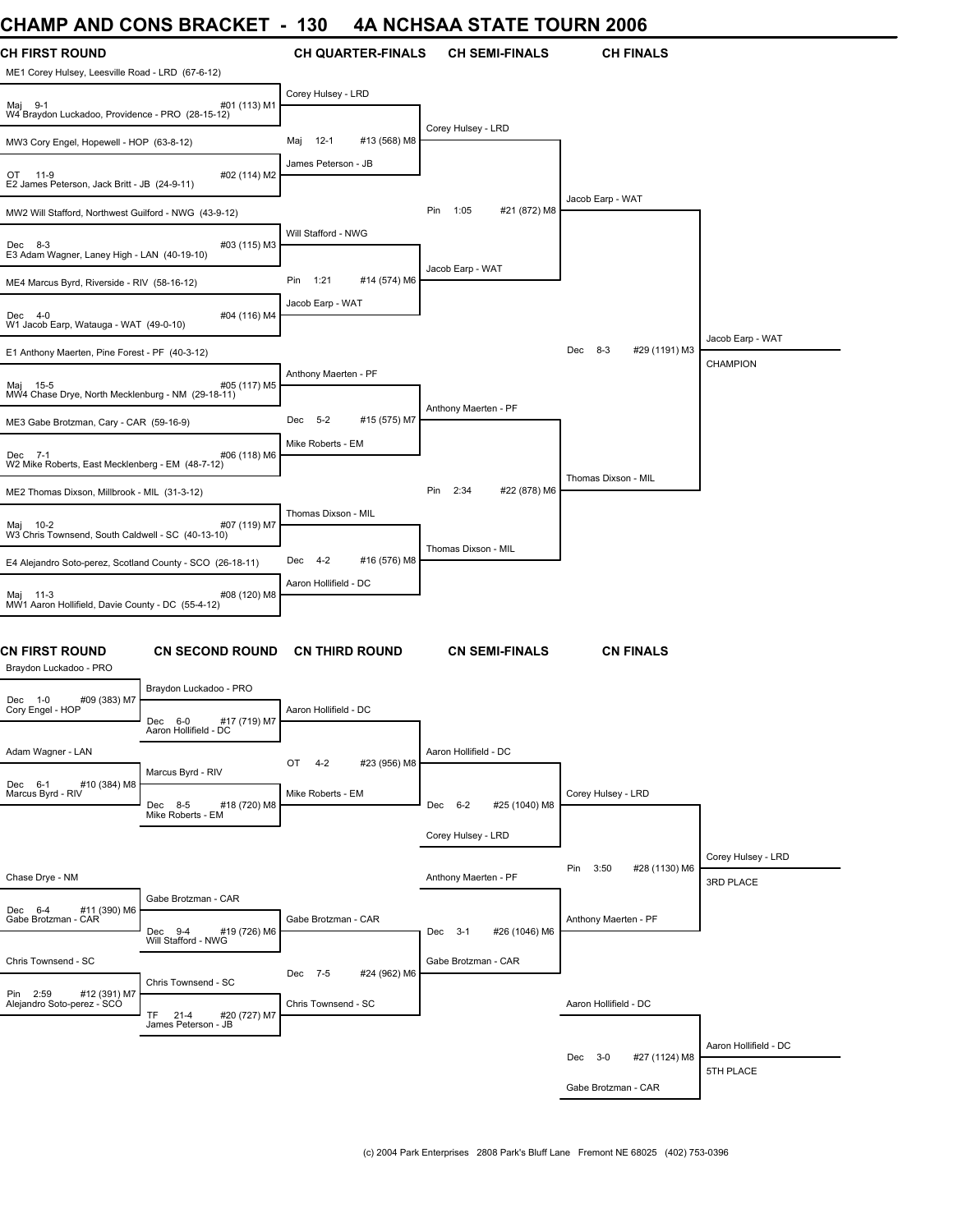# **CHAMP AND CONS BRACKET - 130 4A NCHSAA STATE TOURN 2006**

| UNAMIP AND UUNJ DRAUNET                                                   |                                                  | - 190                 |                          | 4A NUNJAA JIAIE IUUKN 2000  |                           |                                     |
|---------------------------------------------------------------------------|--------------------------------------------------|-----------------------|--------------------------|-----------------------------|---------------------------|-------------------------------------|
| <b>CH FIRST ROUND</b><br>ME1 Corey Hulsey, Leesville Road - LRD (67-6-12) |                                                  |                       | <b>CH QUARTER-FINALS</b> | <b>CH SEMI-FINALS</b>       | <b>CH FINALS</b>          |                                     |
| Maj 9-1<br>W4 Braydon Luckadoo, Providence - PRO (28-15-12)               | #01 (113) M1                                     | Corey Hulsey - LRD    |                          |                             |                           |                                     |
| MW3 Cory Engel, Hopewell - HOP (63-8-12)                                  |                                                  | $12 - 1$<br>Maj       | #13 (568) M8             | Corey Hulsey - LRD          |                           |                                     |
| OT 11-9<br>E2 James Peterson, Jack Britt - JB (24-9-11)                   | #02 (114) M2                                     | James Peterson - JB   |                          |                             |                           |                                     |
| MW2 Will Stafford, Northwest Guilford - NWG (43-9-12)                     |                                                  |                       |                          | Pin<br>1:05<br>#21 (872) M8 | Jacob Earp - WAT          |                                     |
| Dec 8-3<br>E3 Adam Wagner, Laney High - LAN (40-19-10)                    | #03 (115) M3                                     | Will Stafford - NWG   |                          |                             |                           |                                     |
| ME4 Marcus Byrd, Riverside - RIV (58-16-12)                               |                                                  | Pin 1:21              | #14 (574) M6             | Jacob Earp - WAT            |                           |                                     |
| Dec 4-0<br>W1 Jacob Earp, Watauga - WAT (49-0-10)                         | #04 (116) M4                                     | Jacob Earp - WAT      |                          |                             |                           |                                     |
| E1 Anthony Maerten, Pine Forest - PF (40-3-12)                            |                                                  |                       |                          |                             | Dec 8-3<br>#29 (1191) M3  | Jacob Earp - WAT<br><b>CHAMPION</b> |
| Maj 15-5<br>MW4 Chase Drye, North Mecklenburg - NM (29-18-11)             | #05 (117) M5                                     | Anthony Maerten - PF  |                          |                             |                           |                                     |
| ME3 Gabe Brotzman, Cary - CAR (59-16-9)                                   |                                                  | Dec<br>$5 - 2$        | #15 (575) M7             | Anthony Maerten - PF        |                           |                                     |
| Dec 7-1<br>W2 Mike Roberts, East Mecklenberg - EM (48-7-12)               | #06 (118) M6                                     | Mike Roberts - EM     |                          |                             |                           |                                     |
| ME2 Thomas Dixson, Millbrook - MIL (31-3-12)                              |                                                  |                       |                          | Pin<br>2:34<br>#22 (878) M6 | Thomas Dixson - MIL       |                                     |
| Maj 10-2<br>W3 Chris Townsend, South Caldwell - SC (40-13-10)             | #07 (119) M7                                     | Thomas Dixson - MIL   |                          |                             |                           |                                     |
| E4 Alejandro Soto-perez, Scotland County - SCO (26-18-11)                 |                                                  | Dec 4-2               | #16 (576) M8             | Thomas Dixson - MIL         |                           |                                     |
| Maj 11-3<br>MW1 Aaron Hollifield, Davie County - DC (55-4-12)             | #08 (120) M8                                     | Aaron Hollifield - DC |                          |                             |                           |                                     |
| CN FIRST ROUND<br>Braydon Luckadoo - PRO                                  | <b>CN SECOND ROUND</b>                           |                       | <b>CN THIRD ROUND</b>    | <b>CN SEMI-FINALS</b>       | <b>CN FINALS</b>          |                                     |
| #09 (383) M7<br>Dec 1-0 #<br>Cory Engel - HOP                             | Braydon Luckadoo - PRO                           |                       |                          |                             |                           |                                     |
|                                                                           | #17 (719) M7<br>Dec 6-0<br>Aaron Hollifield - DC | Aaron Hollifield - DC |                          |                             |                           |                                     |
| Adam Wagner - LAN                                                         | Marcus Byrd - RIV                                | OT<br>$4-2$           | #23 (956) M8             | Aaron Hollifield - DC       |                           |                                     |
| Dec 6-1<br>#10 (384) M8<br>Marcus Byrd - RIV                              | Dec 8-5<br>#18 (720) M8<br>Mike Roberts - EM     | Mike Roberts - EM     |                          | Dec 6-2<br>#25 (1040) M8    | Corey Hulsey - LRD        |                                     |
|                                                                           |                                                  |                       |                          | Corey Hulsey - LRD          |                           |                                     |
| Chase Drye - NM                                                           |                                                  |                       |                          | Anthony Maerten - PF        | Pin 3:50<br>#28 (1130) M6 | Corey Hulsey - LRD<br>3RD PLACE     |
| #11 (390) M6<br>Dec 6-4<br>Gabe Brotzman - CAR                            | Gabe Brotzman - CAR<br>Dec 9-4<br>#19 (726) M6   | Gabe Brotzman - CAR   |                          | Dec 3-1<br>#26 (1046) M6    | Anthony Maerten - PF      |                                     |
|                                                                           | Will Stafford - NWG                              |                       |                          |                             |                           |                                     |
| Chris Townsend - SC                                                       | Chris Townsend - SC                              | Dec 7-5               | #24 (962) M6             | Gabe Brotzman - CAR         |                           |                                     |
| Pin 2:59 #12 (391) M7<br>Alejandro Soto-perez - SCO                       | <b>TF</b><br>$21 - 4$<br>#20 (727) M7            | Chris Townsend - SC   |                          |                             | Aaron Hollifield - DC     |                                     |
|                                                                           | James Peterson - JB                              |                       |                          |                             |                           | Aaron Hollifield - DC               |
|                                                                           |                                                  |                       |                          |                             | Dec 3-0<br>#27 (1124) M8  | 5TH PLACE                           |
|                                                                           |                                                  |                       |                          |                             | Gabe Brotzman - CAR       |                                     |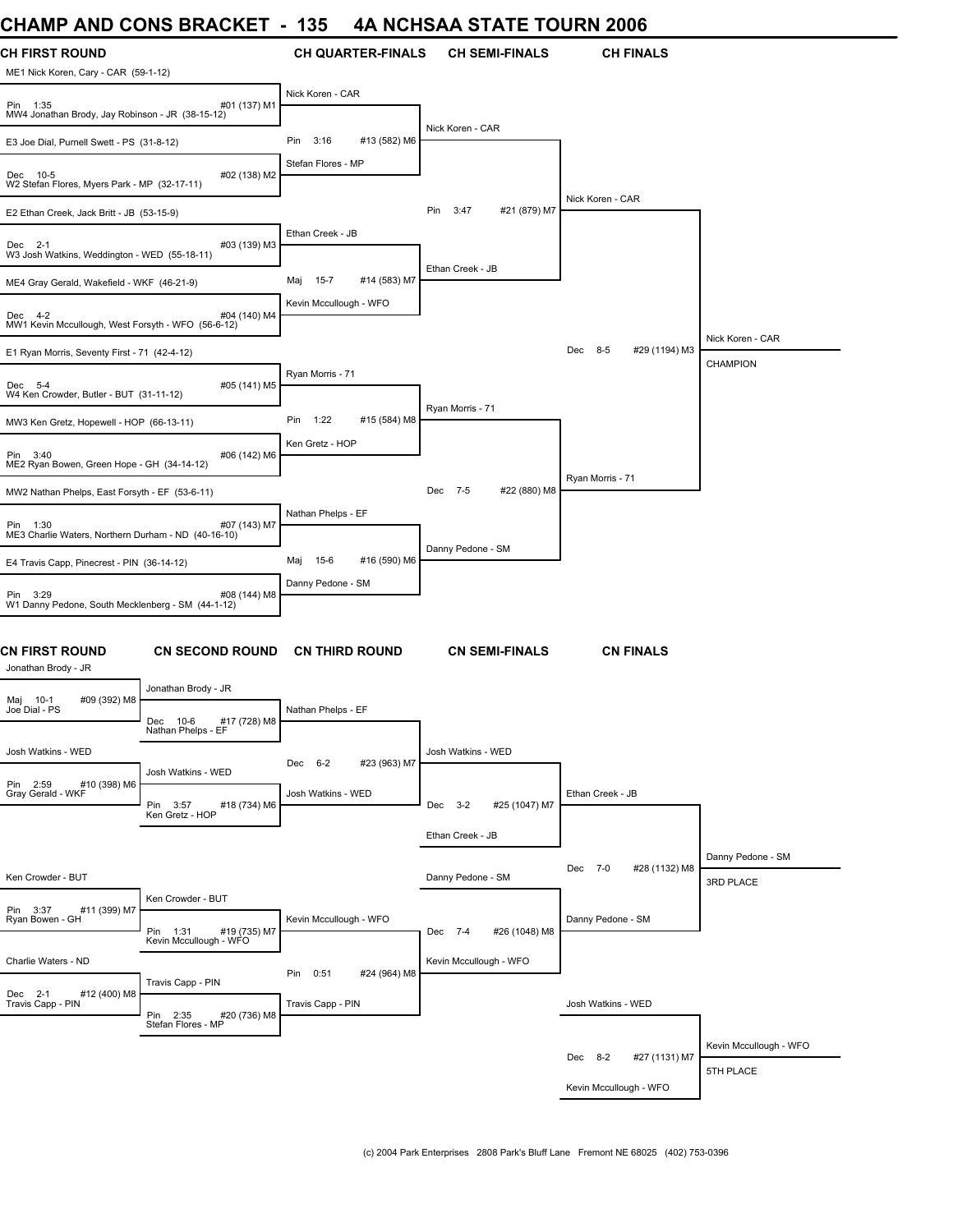# **CHAMP AND CONS BRACKET - 135 4A NCHSAA STATE TOURN 2006**

| VIIAMIE AND                                                     | <b>UUINO DINAUNLI</b>                              | טט ו<br>יו הי            |              | VIIVAA JTATE TUUNN 4000     |                          |                                |
|-----------------------------------------------------------------|----------------------------------------------------|--------------------------|--------------|-----------------------------|--------------------------|--------------------------------|
| CH FIRST ROUND<br>ME1 Nick Koren, Cary - CAR (59-1-12)          |                                                    | <b>CH QUARTER-FINALS</b> |              | <b>CH SEMI-FINALS</b>       | <b>CH FINALS</b>         |                                |
| Pin 1:35<br>MW4 Jonathan Brody, Jay Robinson - JR (38-15-12)    | #01 (137) M1                                       | Nick Koren - CAR         |              |                             |                          |                                |
| E3 Joe Dial, Purnell Swett - PS (31-8-12)                       |                                                    | Pin<br>3:16              | #13 (582) M6 | Nick Koren - CAR            |                          |                                |
| Dec 10-5<br>W2 Stefan Flores, Myers Park - MP (32-17-11)        | #02 (138) M2                                       | Stefan Flores - MP       |              |                             |                          |                                |
| E2 Ethan Creek, Jack Britt - JB (53-15-9)                       |                                                    |                          |              | Pin<br>3:47<br>#21 (879) M7 | Nick Koren - CAR         |                                |
| Dec 2-1<br>W3 Josh Watkins, Weddington - WED (55-18-11)         | #03 (139) M3                                       | Ethan Creek - JB         |              |                             |                          |                                |
| ME4 Gray Gerald, Wakefield - WKF (46-21-9)                      |                                                    | $15 - 7$<br>Maj          | #14 (583) M7 | Ethan Creek - JB            |                          |                                |
| Dec 4-2<br>MW1 Kevin Mccullough, West Forsyth - WFO (56-6-12)   | #04 (140) M4                                       | Kevin Mccullough - WFO   |              |                             |                          |                                |
| E1 Ryan Morris, Seventy First - 71 (42-4-12)                    |                                                    |                          |              |                             | Dec 8-5<br>#29 (1194) M3 | Nick Koren - CAR               |
| Dec 5-4<br>W4 Ken Crowder, Butler - BUT (31-11-12)              | #05 (141) M5                                       | Ryan Morris - 71         |              |                             |                          | <b>CHAMPION</b>                |
| MW3 Ken Gretz, Hopewell - HOP (66-13-11)                        |                                                    | Pin<br>1:22              | #15 (584) M8 | Ryan Morris - 71            |                          |                                |
| Pin 3:40<br>ME2 Ryan Bowen, Green Hope - GH (34-14-12)          | #06 (142) M6                                       | Ken Gretz - HOP          |              |                             |                          |                                |
| MW2 Nathan Phelps, East Forsyth - EF (53-6-11)                  |                                                    |                          |              | Dec 7-5<br>#22 (880) M8     | Ryan Morris - 71         |                                |
| Pin 1:30<br>ME3 Charlie Waters, Northern Durham - ND (40-16-10) | #07 (143) M7                                       | Nathan Phelps - EF       |              |                             |                          |                                |
| E4 Travis Capp, Pinecrest - PIN (36-14-12)                      |                                                    | 15-6<br>Maj              | #16 (590) M6 | Danny Pedone - SM           |                          |                                |
| Pin 3:29<br>W1 Danny Pedone, South Mecklenberg - SM (44-1-12)   | #08 (144) M8                                       | Danny Pedone - SM        |              |                             |                          |                                |
| CN FIRST ROUND<br>Jonathan Brody - JR                           | <b>CN SECOND ROUND</b>                             | <b>CN THIRD ROUND</b>    |              | <b>CN SEMI-FINALS</b>       | <b>CN FINALS</b>         |                                |
| Maj 10-1<br>#09 (392) M8                                        | Jonathan Brody - JR                                |                          |              |                             |                          |                                |
| Joe Dial - PS                                                   | Dec<br>10-6<br>#17 (728) M8<br>Nathan Phelps - EF  | Nathan Phelps - EF       |              |                             |                          |                                |
| Josh Watkins - WED                                              | Josh Watkins - WED                                 | Dec 6-2                  | #23 (963) M7 | Josh Watkins - WED          |                          |                                |
| Pin 2:59<br>#10 (398) M6<br>Gray Gerald - WKF                   | Pin 3:57<br>#18 (734) M6<br>Ken Gretz - HOP        | Josh Watkins - WED       |              | Dec 3-2<br>#25 (1047) M7    | Ethan Creek - JB         |                                |
|                                                                 |                                                    |                          |              | Ethan Creek - JB            |                          |                                |
| Ken Crowder - BUT                                               |                                                    |                          |              | Danny Pedone - SM           | Dec 7-0<br>#28 (1132) M8 | Danny Pedone - SM<br>3RD PLACE |
| #11 (399) M7<br>Pin 3:37<br>Ryan Bowen - GH                     | Ken Crowder - BUT                                  | Kevin Mccullough - WFO   |              |                             | Danny Pedone - SM        |                                |
|                                                                 | Pin 1:31<br>#19 (735) M7<br>Kevin Mccullough - WFO |                          |              | Dec 7-4<br>#26 (1048) M8    |                          |                                |
| Charlie Waters - ND                                             |                                                    | Pin 0:51                 | #24 (964) M8 | Kevin Mccullough - WFO      |                          |                                |
| Dec 2-1<br>#12 (400) M8<br>Travis Capp - PIN                    | Travis Capp - PIN<br>Pin 2:35<br>#20 (736) M8      | Travis Capp - PIN        |              |                             | Josh Watkins - WED       |                                |
|                                                                 | Stefan Flores - MP                                 |                          |              |                             |                          | Kevin Mccullough - WFO         |
|                                                                 |                                                    |                          |              |                             | Dec 8-2<br>#27 (1131) M7 | 5TH PLACE                      |
|                                                                 |                                                    |                          |              |                             | Kevin Mccullough - WFO   |                                |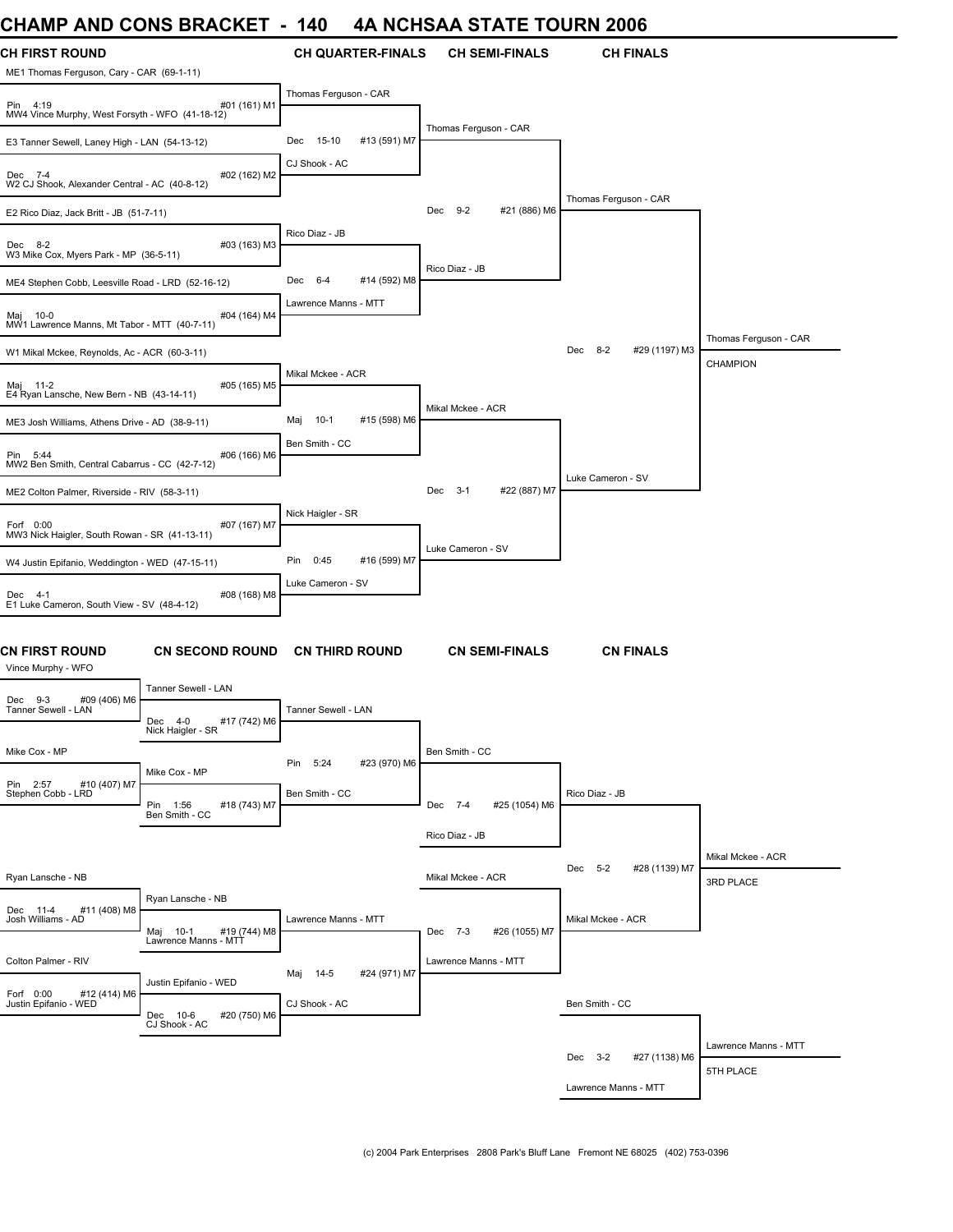# **CHAMP AND CONS BRACKET - 140 4A NCHSAA STATE TOURN 2006**

| ,,,,,,,,                                                           | ו ברוטרערט טווט                                     |                             | UIAIL IVUINTE            |                          |                                |
|--------------------------------------------------------------------|-----------------------------------------------------|-----------------------------|--------------------------|--------------------------|--------------------------------|
| <b>CH FIRST ROUND</b><br>ME1 Thomas Ferguson, Cary - CAR (69-1-11) |                                                     | <b>CH QUARTER-FINALS</b>    | <b>CH SEMI-FINALS</b>    | <b>CH FINALS</b>         |                                |
| Pin 4:19<br>MW4 Vince Murphy, West Forsyth - WFO (41-18-12)        | #01 (161) M1                                        | Thomas Ferguson - CAR       |                          |                          |                                |
| E3 Tanner Sewell, Laney High - LAN (54-13-12)                      |                                                     | #13 (591) M7<br>Dec 15-10   | Thomas Ferguson - CAR    |                          |                                |
| Dec 7-4<br>W2 CJ Shook, Alexander Central - AC (40-8-12)           | #02 (162) M2                                        | CJ Shook - AC               |                          |                          |                                |
| E2 Rico Diaz, Jack Britt - JB (51-7-11)                            |                                                     |                             | Dec 9-2<br>#21 (886) M6  | Thomas Ferguson - CAR    |                                |
| Dec 8-2<br>W3 Mike Cox, Myers Park - MP (36-5-11)                  | #03 (163) M3                                        | Rico Diaz - JB              |                          |                          |                                |
| ME4 Stephen Cobb, Leesville Road - LRD (52-16-12)                  |                                                     | Dec 6-4<br>#14 (592) M8     | Rico Diaz - JB           |                          |                                |
| Maj 10-0<br>MW1 Lawrence Manns, Mt Tabor - MTT (40-7-11)           | #04 (164) M4                                        | Lawrence Manns - MTT        |                          |                          |                                |
| W1 Mikal Mckee, Reynolds, Ac - ACR (60-3-11)                       |                                                     |                             |                          | Dec 8-2<br>#29 (1197) M3 | Thomas Ferguson - CAR          |
| Maj 11-2<br>E4 Ryan Lansche, New Bern - NB (43-14-11)              | #05 (165) M5                                        | Mikal Mckee - ACR           |                          |                          | CHAMPION                       |
| ME3 Josh Williams, Athens Drive - AD (38-9-11)                     |                                                     | #15 (598) M6<br>10-1<br>Maj | Mikal Mckee - ACR        |                          |                                |
| Pin 5:44<br>MW2 Ben Smith, Central Cabarrus - CC (42-7-12)         | #06 (166) M6                                        | Ben Smith - CC              |                          |                          |                                |
| ME2 Colton Palmer, Riverside - RIV (58-3-11)                       |                                                     |                             | Dec 3-1<br>#22 (887) M7  | Luke Cameron - SV        |                                |
| Forf 0:00<br>MW3 Nick Haigler, South Rowan - SR (41-13-11)         | #07 (167) M7                                        | Nick Haigler - SR           | Luke Cameron - SV        |                          |                                |
| W4 Justin Epifanio, Weddington - WED (47-15-11)                    |                                                     | Pin<br>0:45<br>#16 (599) M7 |                          |                          |                                |
| Dec 4-1<br>E1 Luke Cameron, South View - SV (48-4-12)              | #08 (168) M8                                        | Luke Cameron - SV           |                          |                          |                                |
| <b>CN FIRST ROUND</b><br>Vince Murphy - WFO                        | <b>CN SECOND ROUND</b>                              | <b>CN THIRD ROUND</b>       | <b>CN SEMI-FINALS</b>    | <b>CN FINALS</b>         |                                |
| #09 (406) M6<br>Dec 9-3                                            | Tanner Sewell - LAN                                 |                             |                          |                          |                                |
| Tanner Sewell - LAN                                                | Dec<br>#17 (742) M6<br>$4 - 0$<br>Nick Haigler - SR | Tanner Sewell - LAN         |                          |                          |                                |
| Mike Cox - MP                                                      | Mike Cox - MP                                       | 5:24<br>#23 (970) M6<br>Pin | Ben Smith - CC           |                          |                                |
| Pin 2:57<br>#10 (407) M7<br>Stephen Cobb - LRD                     | Pin 1:56<br>#18 (743) M7<br>Ben Smith - CC          | Ben Smith - CC              | Dec 7-4<br>#25 (1054) M6 | Rico Diaz - JB           |                                |
|                                                                    |                                                     |                             | Rico Diaz - JB           |                          |                                |
| Ryan Lansche - NB                                                  |                                                     |                             | Mikal Mckee - ACR        | Dec 5-2<br>#28 (1139) M7 | Mikal Mckee - ACR<br>3RD PLACE |
| Dec 11-4<br>#11 (408) M8<br>Josh Williams - AD                     | Ryan Lansche - NB                                   | Lawrence Manns - MTT        |                          | Mikal Mckee - ACR        |                                |
|                                                                    | #19 (744) M8<br>Maj 10-1<br>Lawrence Manns - MTT    |                             | #26 (1055) M7<br>Dec 7-3 |                          |                                |
| Colton Palmer - RIV                                                | Justin Epifanio - WED                               | Maj 14-5<br>#24 (971) M7    | Lawrence Manns - MTT     |                          |                                |
| Forf 0:00<br>#12 (414) M6<br>Justin Epifanio - WED                 | Dec 10-6<br>#20 (750) M6<br>CJ Shook - AC           | CJ Shook - AC               |                          | Ben Smith - CC           |                                |
|                                                                    |                                                     |                             |                          | Dec 3-2<br>#27 (1138) M6 | Lawrence Manns - MTT           |
|                                                                    |                                                     |                             |                          | Lawrence Manns - MTT     | 5TH PLACE                      |
|                                                                    |                                                     |                             |                          |                          |                                |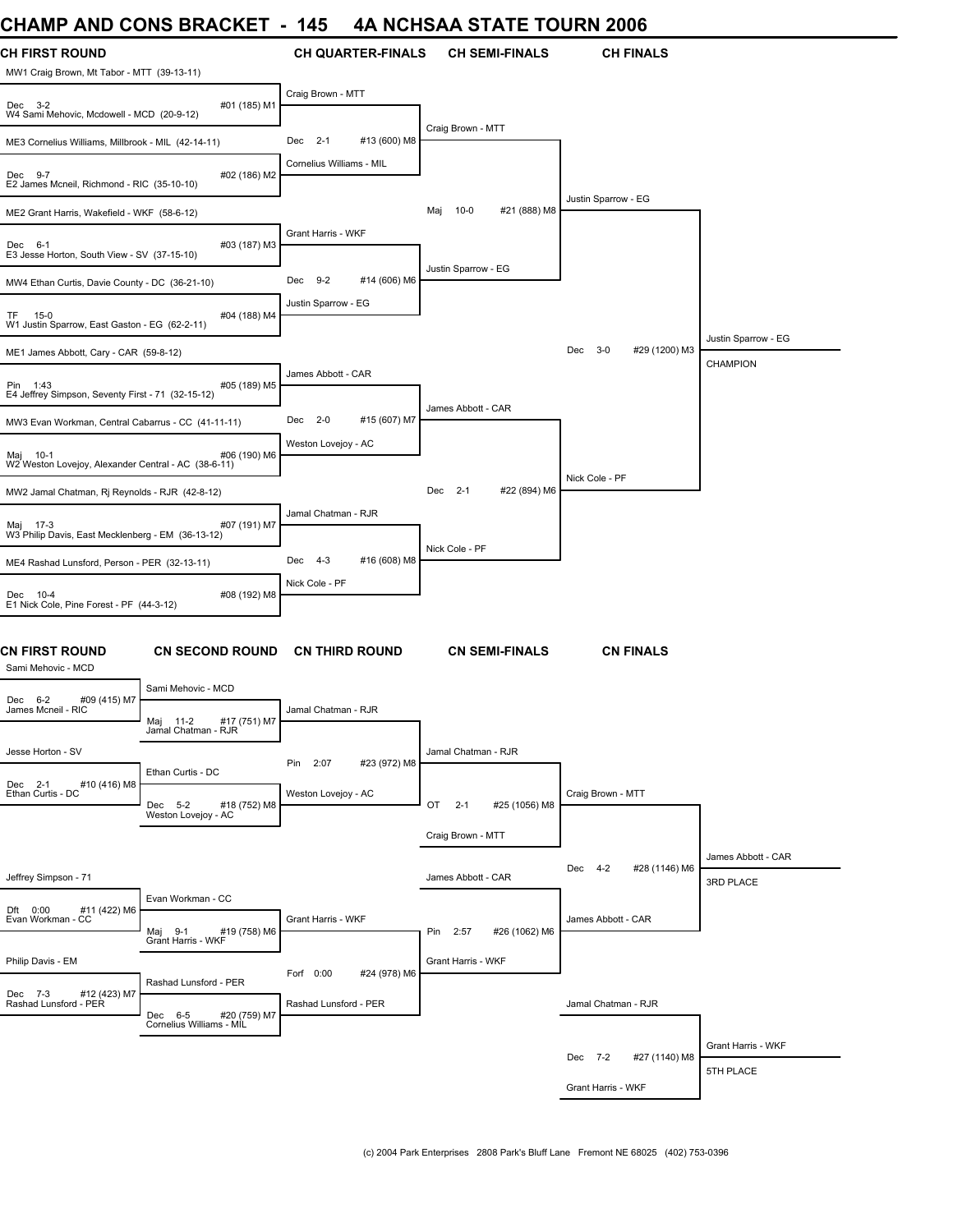# **CHAMP AND CONS BRACKET - 145 4A NCHSAA STATE TOURN 2006**

| UNAIWIT AND UUNJ DRAUNEI                                                       |              | 140                      |                          |                     |                       | 4A NUNJAA JIAIE IUUNN 4000      |                                 |
|--------------------------------------------------------------------------------|--------------|--------------------------|--------------------------|---------------------|-----------------------|---------------------------------|---------------------------------|
| <b>CH FIRST ROUND</b><br>MW1 Craig Brown, Mt Tabor - MTT (39-13-11)            |              |                          | <b>CH QUARTER-FINALS</b> |                     | <b>CH SEMI-FINALS</b> | <b>CH FINALS</b>                |                                 |
| Dec 3-2<br>W4 Sami Mehovic, Mcdowell - MCD (20-9-12)                           | #01 (185) M1 | Craig Brown - MTT        |                          |                     |                       |                                 |                                 |
| ME3 Cornelius Williams, Millbrook - MIL (42-14-11)                             |              | Dec 2-1                  | #13 (600) M8             | Craig Brown - MTT   |                       |                                 |                                 |
| Dec 9-7<br>E2 James Mcneil, Richmond - RIC (35-10-10)                          | #02 (186) M2 | Cornelius Williams - MIL |                          |                     |                       |                                 |                                 |
| ME2 Grant Harris, Wakefield - WKF (58-6-12)                                    |              |                          |                          | $10-0$<br>Maj       | #21 (888) M8          | Justin Sparrow - EG             |                                 |
| Dec 6-1<br>E3 Jesse Horton, South View - SV (37-15-10)                         | #03 (187) M3 | Grant Harris - WKF       |                          |                     |                       |                                 |                                 |
| MW4 Ethan Curtis, Davie County - DC (36-21-10)                                 |              | Dec 9-2                  | #14 (606) M6             | Justin Sparrow - EG |                       |                                 |                                 |
| TF 15-0<br>W1 Justin Sparrow, East Gaston - EG (62-2-11)                       | #04 (188) M4 | Justin Sparrow - EG      |                          |                     |                       |                                 |                                 |
| ME1 James Abbott, Cary - CAR (59-8-12)                                         |              |                          |                          |                     |                       | $3 - 0$<br>#29 (1200) M3<br>Dec | Justin Sparrow - EG             |
| Pin 1:43<br>E4 Jeffrey Simpson, Seventy First - 71 (32-15-12)                  | #05 (189) M5 | James Abbott - CAR       |                          |                     |                       |                                 | <b>CHAMPION</b>                 |
| MW3 Evan Workman, Central Cabarrus - CC (41-11-11)                             |              | Dec 2-0                  | #15 (607) M7             | James Abbott - CAR  |                       |                                 |                                 |
| Maj 10-1<br>W2 Weston Lovejoy, Alexander Central - AC (38-6-11)                | #06 (190) M6 | Weston Lovejoy - AC      |                          |                     |                       |                                 |                                 |
| MW2 Jamal Chatman, Rj Reynolds - RJR (42-8-12)                                 |              |                          |                          | Dec 2-1             | #22 (894) M6          | Nick Cole - PF                  |                                 |
| Maj 17-3<br>W3 Philip Davis, East Mecklenberg - EM (36-13-12)                  | #07 (191) M7 | Jamal Chatman - RJR      |                          |                     |                       |                                 |                                 |
| ME4 Rashad Lunsford, Person - PER (32-13-11)                                   |              | Dec 4-3                  | #16 (608) M8             | Nick Cole - PF      |                       |                                 |                                 |
| Dec 10-4<br>E1 Nick Cole, Pine Forest - PF (44-3-12)                           | #08 (192) M8 | Nick Cole - PF           |                          |                     |                       |                                 |                                 |
| CN FIRST ROUND<br><b>CN SECOND ROUND</b><br>Sami Mehovic - MCD                 |              | <b>CN THIRD ROUND</b>    |                          |                     | <b>CN SEMI-FINALS</b> | <b>CN FINALS</b>                |                                 |
| Sami Mehovic - MCD<br>Dec 6-2<br>#09 (415) M7                                  |              |                          |                          |                     |                       |                                 |                                 |
| James Mcneil - RIC<br>Maj 11-2<br>Jamal Chatman - RJR                          | #17 (751) M7 | Jamal Chatman - RJR      |                          |                     |                       |                                 |                                 |
| Jesse Horton - SV<br>Ethan Curtis - DC                                         |              | 2:07<br>Pin              | #23 (972) M8             | Jamal Chatman - RJR |                       |                                 |                                 |
| Dec 2-1<br>#10 (416) M8<br>Ethan Curtis - DC<br>Dec 5-2<br>Weston Lovejoy - AC | #18 (752) M8 | Weston Lovejoy - AC      |                          | OT<br>$2 - 1$       | #25 (1056) M8         | Craig Brown - MTT               |                                 |
|                                                                                |              |                          |                          | Craig Brown - MTT   |                       |                                 |                                 |
| Jeffrey Simpson - 71                                                           |              |                          |                          | James Abbott - CAR  |                       | #28 (1146) M6<br>$4 - 2$<br>Dec | James Abbott - CAR<br>3RD PLACE |
| Evan Workman - CC<br>Dft 0:00<br>#11 (422) M6<br>Evan Workman - CC<br>Maj 9-1  | #19 (758) M6 | Grant Harris - WKF       |                          | Pin 2:57            | #26 (1062) M6         | James Abbott - CAR              |                                 |
| Grant Harris - WKF                                                             |              |                          |                          |                     |                       |                                 |                                 |
| Philip Davis - EM<br>Rashad Lunsford - PER<br>Dec 7-3<br>#12 (423) M7          |              | Forf 0:00                | #24 (978) M6             | Grant Harris - WKF  |                       |                                 |                                 |
| Rashad Lunsford - PER<br>Dec 6-5                                               | #20 (759) M7 | Rashad Lunsford - PER    |                          |                     |                       | Jamal Chatman - RJR             |                                 |
| Cornelius Williams - MIL                                                       |              |                          |                          |                     |                       |                                 | Grant Harris - WKF              |
|                                                                                |              |                          |                          |                     |                       | #27 (1140) M8<br>Dec 7-2        | 5TH PLACE                       |
|                                                                                |              |                          |                          |                     |                       | Grant Harris - WKF              |                                 |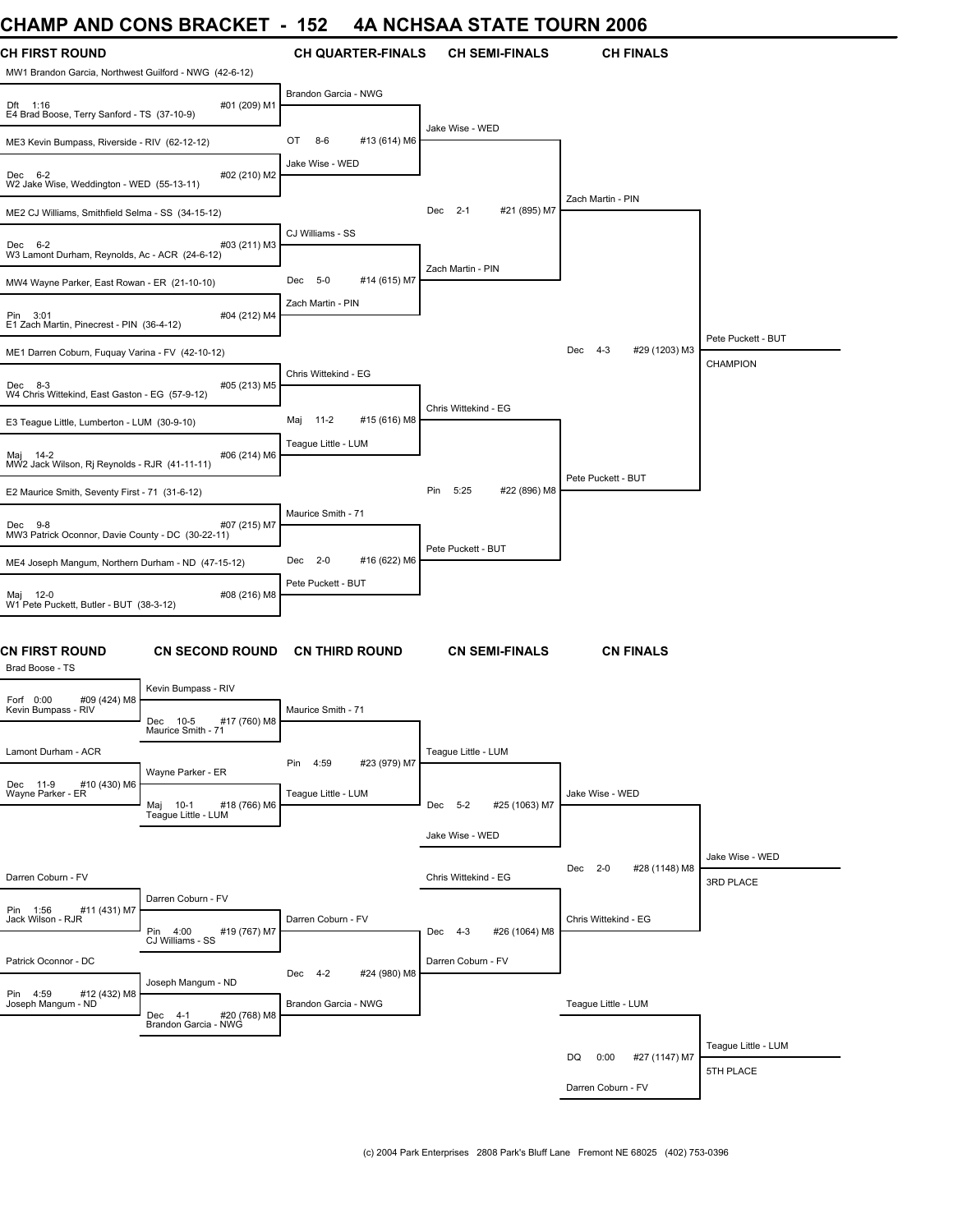# **CHAMP AND CONS BRACKET - 152 4A NCHSAA STATE TOURN 2006**

| UNAIVIF AIND UUNJ DRAUNET                                                       |                        | ⊿טו                  |                          |                      |                       | 4A NGHJAA STATE TOONN 2000      |                              |
|---------------------------------------------------------------------------------|------------------------|----------------------|--------------------------|----------------------|-----------------------|---------------------------------|------------------------------|
| CH FIRST ROUND<br>MW1 Brandon Garcia, Northwest Guilford - NWG (42-6-12)        |                        |                      | <b>CH QUARTER-FINALS</b> |                      | <b>CH SEMI-FINALS</b> | <b>CH FINALS</b>                |                              |
| Dft 1:16<br>E4 Brad Boose, Terry Sanford - TS (37-10-9)                         | #01 (209) M1           | Brandon Garcia - NWG |                          |                      |                       |                                 |                              |
| ME3 Kevin Bumpass, Riverside - RIV (62-12-12)                                   |                        | OT<br>$8-6$          | #13 (614) M6             | Jake Wise - WED      |                       |                                 |                              |
| Dec 6-2<br>W2 Jake Wise, Weddington - WED (55-13-11)                            | #02 (210) M2           | Jake Wise - WED      |                          |                      |                       |                                 |                              |
| ME2 CJ Williams, Smithfield Selma - SS (34-15-12)                               |                        |                      |                          | Dec 2-1              | #21 (895) M7          | Zach Martin - PIN               |                              |
| Dec 6-2<br>W3 Lamont Durham, Reynolds, Ac - ACR (24-6-12)                       | #03 (211) M3           | CJ Williams - SS     |                          |                      |                       |                                 |                              |
| MW4 Wayne Parker, East Rowan - ER (21-10-10)                                    |                        | Dec 5-0              | #14 (615) M7             | Zach Martin - PIN    |                       |                                 |                              |
| Pin 3:01<br>E1 Zach Martin, Pinecrest - PIN (36-4-12)                           | #04 (212) M4           | Zach Martin - PIN    |                          |                      |                       |                                 |                              |
| ME1 Darren Coburn, Fuquay Varina - FV (42-10-12)                                |                        |                      |                          |                      |                       | #29 (1203) M3<br>Dec<br>$4 - 3$ | Pete Puckett - BUT           |
| Dec 8-3<br>W4 Chris Wittekind, East Gaston - EG (57-9-12)                       | #05 (213) M5           | Chris Wittekind - EG |                          |                      |                       |                                 | <b>CHAMPION</b>              |
| E3 Teague Little, Lumberton - LUM (30-9-10)                                     |                        | Maj 11-2             | #15 (616) M8             | Chris Wittekind - EG |                       |                                 |                              |
| Maj 14-2<br>MW2 Jack Wilson, Ri Reynolds - RJR (41-11-11)                       | #06 (214) M6           | Teague Little - LUM  |                          |                      |                       |                                 |                              |
| E2 Maurice Smith, Seventy First - 71 (31-6-12)                                  |                        |                      |                          | 5:25<br>Pin          | #22 (896) M8          | Pete Puckett - BUT              |                              |
|                                                                                 |                        | Maurice Smith - 71   |                          |                      |                       |                                 |                              |
| Dec 9-8<br>MW3 Patrick Oconnor, Davie County - DC (30-22-11)                    | #07 (215) M7           |                      |                          |                      |                       |                                 |                              |
| ME4 Joseph Mangum, Northern Durham - ND (47-15-12)                              |                        | Dec 2-0              | #16 (622) M6             | Pete Puckett - BUT   |                       |                                 |                              |
| Maj 12-0<br>W1 Pete Puckett, Butler - BUT (38-3-12)                             | #08 (216) M8           | Pete Puckett - BUT   |                          |                      |                       |                                 |                              |
| CN FIRST ROUND<br>Brad Boose - TS                                               | <b>CN SECOND ROUND</b> |                      | <b>CN THIRD ROUND</b>    |                      | <b>CN SEMI-FINALS</b> | <b>CN FINALS</b>                |                              |
| Kevin Bumpass - RIV<br>Forf 0:00<br>#09 (424) M8                                |                        |                      |                          |                      |                       |                                 |                              |
| Kevin Bumpass - RIV<br>Dec 10-5<br>Maurice Smith - 71                           | #17 (760) M8           | Maurice Smith - 71   |                          |                      |                       |                                 |                              |
| Lamont Durham - ACR                                                             |                        | Pin 4:59             | #23 (979) M7             | Teague Little - LUM  |                       |                                 |                              |
| Wayne Parker - ER<br>Dec 11-9<br>#10 (430) M6<br>Wayne Parker - ER<br>Maj 10-1  | #18 (766) M6           | Teague Little - LUM  |                          | Dec 5-2              | #25 (1063) M7         | Jake Wise - WED                 |                              |
| Teague Little - LUM                                                             |                        |                      |                          | Jake Wise - WED      |                       |                                 |                              |
| Darren Coburn - FV                                                              |                        |                      |                          | Chris Wittekind - EG |                       | #28 (1148) M8<br>Dec 2-0        | Jake Wise - WED<br>3RD PLACE |
| Darren Coburn - FV                                                              |                        |                      |                          |                      |                       |                                 |                              |
| #11 (431) M7<br>Pin 1:56<br>Jack Wilson - RJR<br>Pin 4:00<br>CJ Williams - SS   | #19 (767) M7           | Darren Coburn - FV   |                          | Dec 4-3              | #26 (1064) M8         | Chris Wittekind - EG            |                              |
| Patrick Oconnor - DC                                                            |                        | Dec 4-2              | #24 (980) M8             | Darren Coburn - FV   |                       |                                 |                              |
| Joseph Mangum - ND<br>Pin 4:59<br>#12 (432) M8<br>Joseph Mangum - ND<br>Dec 4-1 | #20 (768) M8           | Brandon Garcia - NWG |                          |                      |                       | Teague Little - LUM             |                              |
| Brandon Garcia - NWG                                                            |                        |                      |                          |                      |                       |                                 |                              |
|                                                                                 |                        |                      |                          |                      |                       | #27 (1147) M7<br>DQ<br>0:00     | Teague Little - LUM          |
|                                                                                 |                        |                      |                          |                      |                       | Darren Coburn - FV              | 5TH PLACE                    |
|                                                                                 |                        |                      |                          |                      |                       |                                 |                              |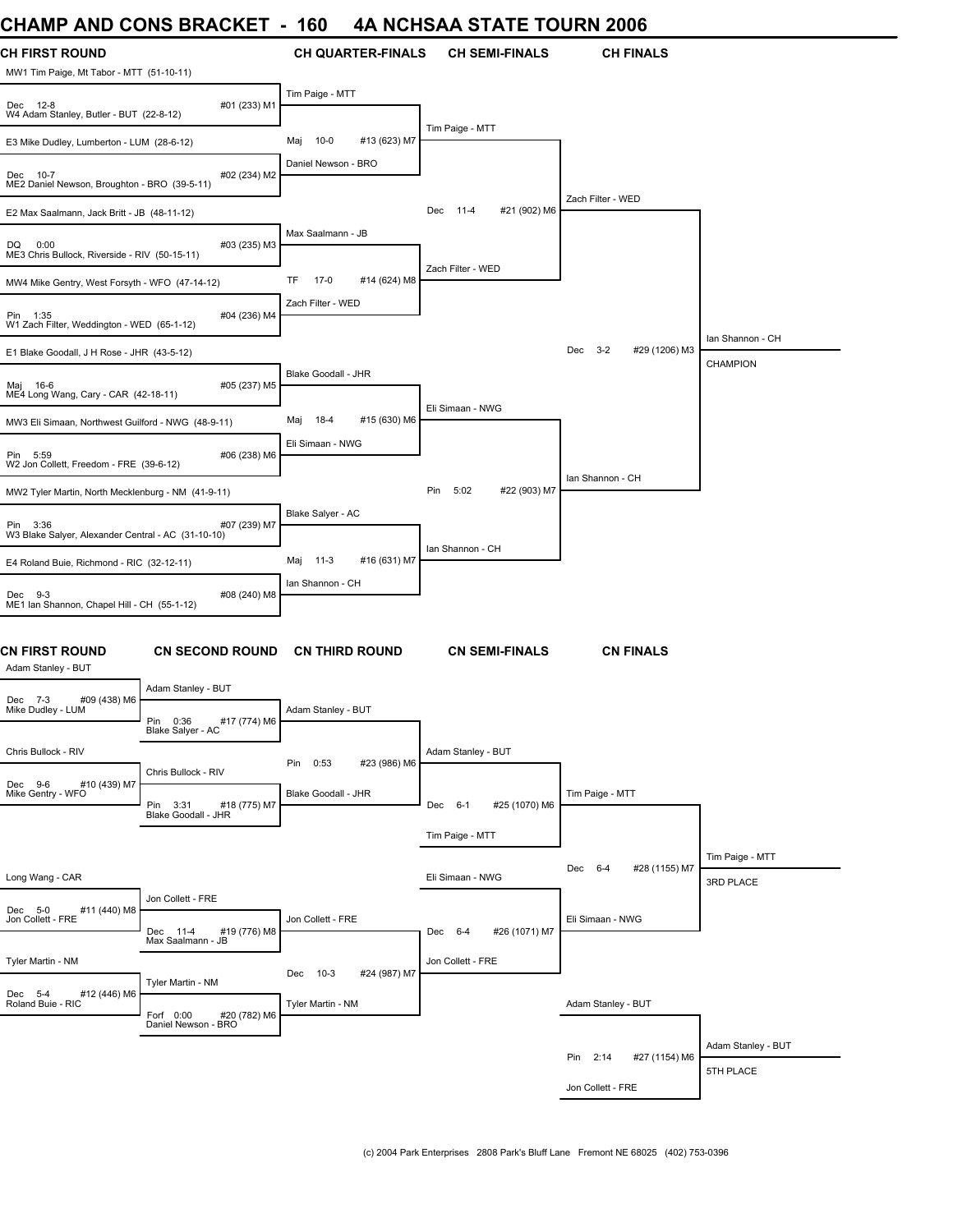# **CHAMP AND CONS BRACKET - 160 4A NCHSAA STATE TOURN 2006**

| <b>UIMINIT AND UUNJ DRAUNLI</b>                                   |                                                  | טט ו                              | 4A NGLISAA STATE TOONN 2000 |                           |                    |
|-------------------------------------------------------------------|--------------------------------------------------|-----------------------------------|-----------------------------|---------------------------|--------------------|
| <b>CH FIRST ROUND</b><br>MW1 Tim Paige, Mt Tabor - MTT (51-10-11) |                                                  | <b>CH QUARTER-FINALS</b>          | <b>CH SEMI-FINALS</b>       | <b>CH FINALS</b>          |                    |
| Dec 12-8<br>W4 Adam Stanley, Butler - BUT (22-8-12)               | #01 (233) M1                                     | Tim Paige - MTT                   |                             |                           |                    |
| E3 Mike Dudley, Lumberton - LUM (28-6-12)                         |                                                  | $10 - 0$<br>#13 (623) M7<br>Maj   | Tim Paige - MTT             |                           |                    |
| Dec 10-7<br>ME2 Daniel Newson, Broughton - BRO (39-5-11)          | #02 (234) M2                                     | Daniel Newson - BRO               |                             |                           |                    |
| E2 Max Saalmann, Jack Britt - JB (48-11-12)                       |                                                  |                                   | Dec 11-4<br>#21 (902) M6    | Zach Filter - WED         |                    |
| DQ<br>0:00<br>ME3 Chris Bullock, Riverside - RIV (50-15-11)       | #03 (235) M3                                     | Max Saalmann - JB                 |                             |                           |                    |
| MW4 Mike Gentry, West Forsyth - WFO (47-14-12)                    |                                                  | TF<br>$17-0$<br>#14 (624) M8      | Zach Filter - WED           |                           |                    |
| Pin 1:35<br>W1 Zach Filter, Weddington - WED (65-1-12)            | #04 (236) M4                                     | Zach Filter - WED                 |                             |                           |                    |
| E1 Blake Goodall, J H Rose - JHR (43-5-12)                        |                                                  |                                   |                             | Dec 3-2<br>#29 (1206) M3  | Ian Shannon - CH   |
|                                                                   |                                                  | Blake Goodall - JHR               |                             |                           | CHAMPION           |
| Maj 16-6<br>ME4 Long Wang, Cary - CAR (42-18-11)                  | #05 (237) M5                                     |                                   | Eli Simaan - NWG            |                           |                    |
| MW3 Eli Simaan, Northwest Guilford - NWG (48-9-11)                |                                                  | 18-4<br>#15 (630) M6<br>Maj       |                             |                           |                    |
| Pin 5:59<br>W2 Jon Collett, Freedom - FRE (39-6-12)               | #06 (238) M6                                     | Eli Simaan - NWG                  |                             |                           |                    |
| MW2 Tyler Martin, North Mecklenburg - NM (41-9-11)                |                                                  |                                   | Pin<br>5:02<br>#22 (903) M7 | Ian Shannon - CH          |                    |
| Pin 3:36<br>W3 Blake Salyer, Alexander Central - AC (31-10-10)    | #07 (239) M7                                     | Blake Salyer - AC                 |                             |                           |                    |
| E4 Roland Buie, Richmond - RIC (32-12-11)                         |                                                  | Maj 11-3<br>#16 (631) M7          | Ian Shannon - CH            |                           |                    |
| Dec 9-3<br>ME1 Ian Shannon, Chapel Hill - CH (55-1-12)            | #08 (240) M8                                     | Ian Shannon - CH                  |                             |                           |                    |
| CN FIRST ROUND<br>Adam Stanley - BUT                              | <b>CN SECOND ROUND</b>                           | <b>CN THIRD ROUND</b>             | <b>CN SEMI-FINALS</b>       | <b>CN FINALS</b>          |                    |
| Dec 7-3<br>#09 (438) M6                                           | Adam Stanley - BUT                               |                                   |                             |                           |                    |
| Mike Dudley - LUM                                                 | Pin<br>0:36<br>#17 (774) M6<br>Blake Salyer - AC | Adam Stanley - BUT                |                             |                           |                    |
| Chris Bullock - RIV                                               | Chris Bullock - RIV                              | #23 (986) M6<br>Pin 0:53          | Adam Stanley - BUT          |                           |                    |
| Dec 9-6<br>#10 (439) M7<br>Mike Gentry - WFO                      | #18 (775) M7<br>Pin 3:31<br>Blake Goodall - JHR  | Blake Goodall - JHR               | Dec 6-1<br>#25 (1070) M6    | Tim Paige - MTT           |                    |
|                                                                   |                                                  |                                   | Tim Paige - MTT             |                           |                    |
| Long Wang - CAR                                                   |                                                  |                                   | Eli Simaan - NWG            | Dec 6-4<br>#28 (1155) M7  | Tim Paige - MTT    |
|                                                                   | Jon Collett - FRE                                |                                   |                             |                           | 3RD PLACE          |
| Dec 5-0<br>#11 (440) M8<br>Jon Collett - FRE                      | Dec 11-4<br>#19 (776) M8<br>Max Saalmann - JB    | Jon Collett - FRE                 | Dec 6-4<br>#26 (1071) M7    | Eli Simaan - NWG          |                    |
| Tyler Martin - NM                                                 |                                                  | Dec 10-3                          | Jon Collett - FRE           |                           |                    |
| Dec 5-4<br>#12 (446) M6<br>Roland Buie - RIC                      | Tyler Martin - NM                                | #24 (987) M7<br>Tyler Martin - NM |                             | Adam Stanley - BUT        |                    |
|                                                                   | #20 (782) M6<br>Forf 0:00<br>Daniel Newson - BRO |                                   |                             |                           |                    |
|                                                                   |                                                  |                                   |                             | Pin 2:14<br>#27 (1154) M6 | Adam Stanley - BUT |
|                                                                   |                                                  |                                   |                             | Jon Collett - FRE         | 5TH PLACE          |
|                                                                   |                                                  |                                   |                             |                           |                    |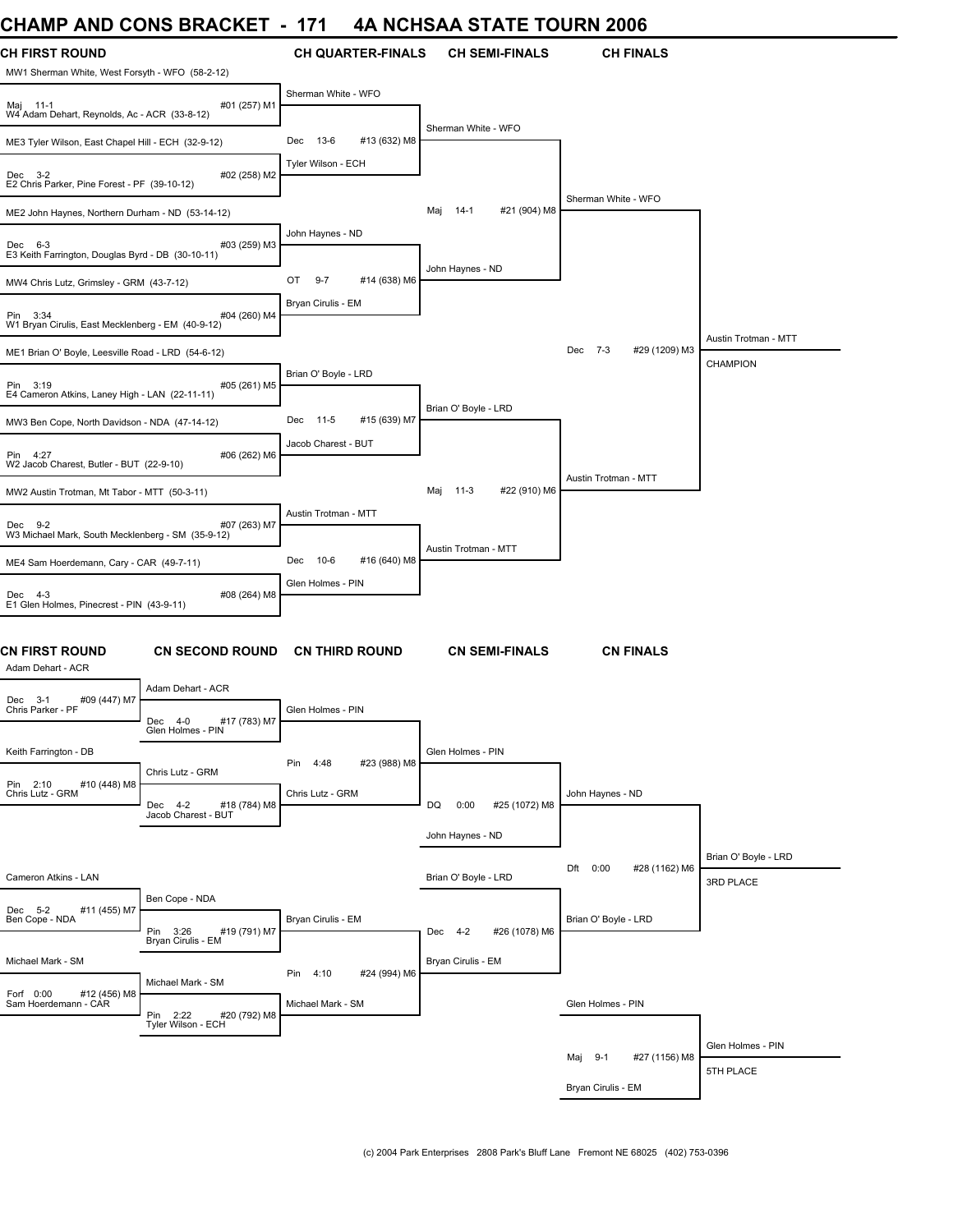# **CHAMP AND CONS BRACKET - 171 4A NCHSAA STATE TOURN 2006**

| UNAIWIT ANU UUNJ DRAUNEI                                                 |                                                | $\overline{\phantom{a}}$<br>17 L | 4A NUNJAA JIAIE IUUNN 4000  |                                 |                      |
|--------------------------------------------------------------------------|------------------------------------------------|----------------------------------|-----------------------------|---------------------------------|----------------------|
| <b>CH FIRST ROUND</b><br>MW1 Sherman White, West Forsyth - WFO (58-2-12) |                                                | <b>CH QUARTER-FINALS</b>         | <b>CH SEMI-FINALS</b>       | <b>CH FINALS</b>                |                      |
| Maj 11-1<br>W4 Adam Dehart, Reynolds, Ac - ACR (33-8-12)                 | #01 (257) M1                                   | Sherman White - WFO              |                             |                                 |                      |
| ME3 Tyler Wilson, East Chapel Hill - ECH (32-9-12)                       |                                                | 13-6<br>#13 (632) M8<br>Dec      | Sherman White - WFO         |                                 |                      |
| $Dec$ 3-2<br>E2 Chris Parker, Pine Forest - PF (39-10-12)                | #02 (258) M2                                   | Tyler Wilson - ECH               |                             |                                 |                      |
|                                                                          |                                                |                                  | #21 (904) M8<br>Maj<br>14-1 | Sherman White - WFO             |                      |
| ME2 John Haynes, Northern Durham - ND (53-14-12)                         |                                                | John Haynes - ND                 |                             |                                 |                      |
| Dec 6-3<br>E3 Keith Farrington, Douglas Byrd - DB (30-10-11)             | #03 (259) M3                                   |                                  |                             |                                 |                      |
| MW4 Chris Lutz, Grimsley - GRM (43-7-12)                                 |                                                | OT<br>$9-7$<br>#14 (638) M6      | John Haynes - ND            |                                 |                      |
| Pin 3:34<br>W1 Bryan Cirulis, East Mecklenberg - EM (40-9-12)            | #04 (260) M4                                   | Bryan Cirulis - EM               |                             |                                 |                      |
| ME1 Brian O' Boyle, Leesville Road - LRD (54-6-12)                       |                                                |                                  |                             | $7 - 3$<br>#29 (1209) M3<br>Dec | Austin Trotman - MTT |
| Pin 3:19<br>E4 Cameron Atkins, Laney High - LAN (22-11-11)               | #05 (261) M5                                   | Brian O' Boyle - LRD             |                             |                                 | <b>CHAMPION</b>      |
| MW3 Ben Cope, North Davidson - NDA (47-14-12)                            |                                                | $11-5$<br>#15 (639) M7<br>Dec    | Brian O' Boyle - LRD        |                                 |                      |
| Pin 4:27<br>W2 Jacob Charest, Butler - BUT (22-9-10)                     | #06 (262) M6                                   | Jacob Charest - BUT              |                             |                                 |                      |
| MW2 Austin Trotman, Mt Tabor - MTT (50-3-11)                             |                                                |                                  | #22 (910) M6<br>Maj<br>11-3 | Austin Trotman - MTT            |                      |
| Dec 9-2                                                                  | #07 (263) M7                                   | Austin Trotman - MTT             |                             |                                 |                      |
| W3 Michael Mark, South Mecklenberg - SM (35-9-12)                        |                                                |                                  | Austin Trotman - MTT        |                                 |                      |
| ME4 Sam Hoerdemann, Cary - CAR (49-7-11)                                 |                                                | #16 (640) M8<br>10-6<br>Dec      |                             |                                 |                      |
| Dec 4-3<br>E1 Glen Holmes, Pinecrest - PIN (43-9-11)                     | #08 (264) M8                                   | Glen Holmes - PIN                |                             |                                 |                      |
| CN FIRST ROUND<br>Adam Dehart - ACR                                      | <b>CN SECOND ROUND</b>                         | <b>CN THIRD ROUND</b>            | <b>CN SEMI-FINALS</b>       | <b>CN FINALS</b>                |                      |
| #09 (447) M7<br>Dec 3-1                                                  | Adam Dehart - ACR                              |                                  |                             |                                 |                      |
| Chris Parker - PF                                                        | Dec 4-0<br>#17 (783) M7<br>Glen Holmes - PIN   | Glen Holmes - PIN                |                             |                                 |                      |
| Keith Farrington - DB                                                    | Chris Lutz - GRM                               | 4:48<br>#23 (988) M8<br>Pin      | Glen Holmes - PIN           |                                 |                      |
| Pin 2:10<br>#10 (448) M8<br>Chris Lutz - GRM                             | Dec 4-2<br>#18 (784) M8<br>Jacob Charest - BUT | Chris Lutz - GRM                 | DQ<br>0:00<br>#25 (1072) M8 | John Haynes - ND                |                      |
|                                                                          |                                                |                                  | John Haynes - ND            |                                 |                      |
|                                                                          |                                                |                                  |                             | 0:00                            | Brian O' Boyle - LRD |
| Cameron Atkins - LAN                                                     |                                                |                                  | Brian O' Boyle - LRD        | Dft<br>#28 (1162) M6            | 3RD PLACE            |
| #11 (455) M7<br>Dec 5-2<br>Ben Cope - NDA                                | Ben Cope - NDA<br>Pin 3:26<br>#19 (791) M7     | Bryan Cirulis - EM               | Dec 4-2<br>#26 (1078) M6    | Brian O' Boyle - LRD            |                      |
| Michael Mark - SM                                                        | Bryan Cirulis - EM                             |                                  | Bryan Cirulis - EM          |                                 |                      |
|                                                                          | Michael Mark - SM                              | 4:10<br>Pin<br>#24 (994) M6      |                             |                                 |                      |
| Forf 0:00<br>#12 (456) M8<br>Sam Hoerdemann - CÀR                        | Pin 2:22<br>#20 (792) M8<br>Tyler Wilson - ECH | Michael Mark - SM                |                             | Glen Holmes - PIN               |                      |
|                                                                          |                                                |                                  |                             | #27 (1156) M8<br>$9-1$<br>Мај   | Glen Holmes - PIN    |
|                                                                          |                                                |                                  |                             |                                 | 5TH PLACE            |
|                                                                          |                                                |                                  |                             | Bryan Cirulis - EM              |                      |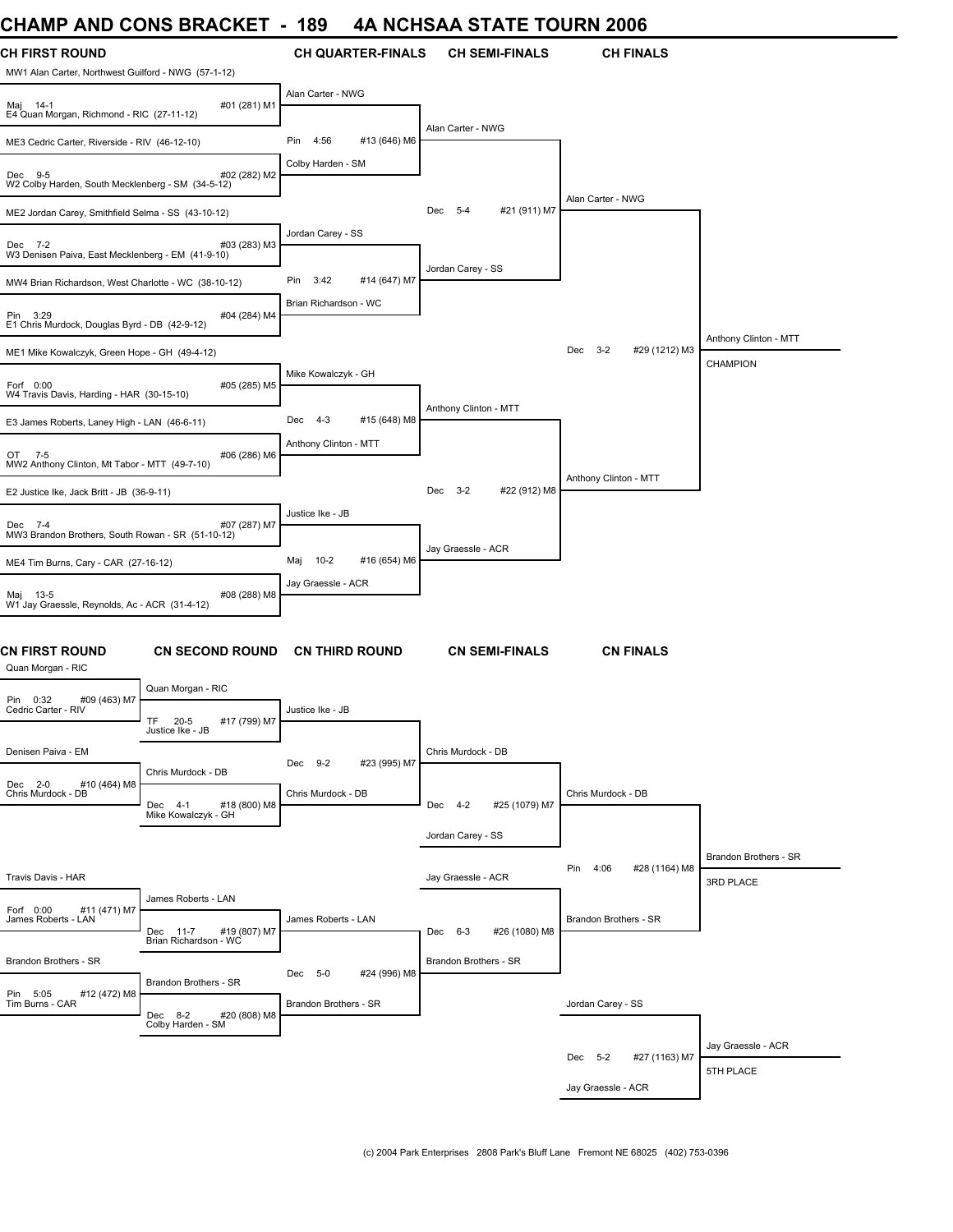# **CHAMP AND CONS BRACKET - 189 4A NCHSAA STATE TOURN 2006**

| VIIAIVIF AIVU<br><b>UUINO DINAUNLI</b>                                                      | ט ו                            | 4A NGLISAA STATE TOONN 2000    |                                 |                       |
|---------------------------------------------------------------------------------------------|--------------------------------|--------------------------------|---------------------------------|-----------------------|
| <b>CH FIRST ROUND</b><br>MW1 Alan Carter, Northwest Guilford - NWG (57-1-12)                | <b>CH QUARTER-FINALS</b>       | <b>CH SEMI-FINALS</b>          | <b>CH FINALS</b>                |                       |
| #01 (281) M1<br>Maj 14-1<br>E4 Quan Morgan, Richmond - RIC (27-11-12)                       | Alan Carter - NWG              |                                |                                 |                       |
| ME3 Cedric Carter, Riverside - RIV (46-12-10)                                               | Pin<br>4:56<br>#13 (646) M6    | Alan Carter - NWG              |                                 |                       |
| #02 (282) M2<br>Dec 9-5<br>W2 Colby Harden, South Mecklenberg - SM (34-5-12)                | Colby Harden - SM              |                                |                                 |                       |
| ME2 Jordan Carey, Smithfield Selma - SS (43-10-12)                                          |                                | Dec 5-4<br>#21 (911) M7        | Alan Carter - NWG               |                       |
| Dec 7-2<br>#03 (283) M3<br>W3 Denisen Paiva, East Mecklenberg - EM (41-9-10)                | Jordan Carey - SS              |                                |                                 |                       |
| MW4 Brian Richardson, West Charlotte - WC (38-10-12)                                        | Pin<br>3:42<br>#14 (647) M7    | Jordan Carey - SS              |                                 |                       |
| Pin 3:29<br>#04 (284) M4<br>E1 Chris Murdock, Douglas Byrd - DB (42-9-12)                   | Brian Richardson - WC          |                                |                                 |                       |
| ME1 Mike Kowalczyk, Green Hope - GH (49-4-12)                                               |                                |                                | $3 - 2$<br>Dec<br>#29 (1212) M3 | Anthony Clinton - MTT |
| #05 (285) M5<br>Forf 0:00<br>W4 Travis Davis, Harding - HAR (30-15-10)                      | Mike Kowalczyk - GH            |                                |                                 | <b>CHAMPION</b>       |
| E3 James Roberts, Laney High - LAN (46-6-11)                                                | Dec<br>$4 - 3$<br>#15 (648) M8 | Anthony Clinton - MTT          |                                 |                       |
| #06 (286) M6<br>OT 7-5<br>MW2 Anthony Clinton, Mt Tabor - MTT (49-7-10)                     | Anthony Clinton - MTT          |                                |                                 |                       |
| E2 Justice Ike, Jack Britt - JB (36-9-11)                                                   |                                | Dec<br>$3 - 2$<br>#22 (912) M8 | Anthony Clinton - MTT           |                       |
| #07 (287) M7<br>Dec 7-4<br>MW3 Brandon Brothers, South Rowan - SR (51-10-12)                | Justice Ike - JB               |                                |                                 |                       |
| ME4 Tim Burns, Cary - CAR (27-16-12)                                                        | $10-2$<br>#16 (654) M6<br>Maj  | Jay Graessle - ACR             |                                 |                       |
|                                                                                             | Jay Graessle - ACR             |                                |                                 |                       |
| Maj 13-5<br>#08 (288) M8<br>W1 Jay Graessle, Reynolds, Ac - ACR (31-4-12)                   |                                |                                |                                 |                       |
| CN FIRST ROUND<br><b>CN SECOND ROUND</b><br>Quan Morgan - RIC                               | <b>CN THIRD ROUND</b>          | <b>CN SEMI-FINALS</b>          | <b>CN FINALS</b>                |                       |
| Quan Morgan - RIC<br>Pin 0:32<br>#09 (463) M7                                               |                                |                                |                                 |                       |
| Cedric Carter - RIV<br>TF<br>$20 - 5$<br>#17 (799) M7<br>Justice Ike - JB                   | Justice Ike - JB               |                                |                                 |                       |
| Denisen Paiva - EM<br>Chris Murdock - DB                                                    | #23 (995) M7<br>Dec 9-2        | Chris Murdock - DB             |                                 |                       |
| Dec 2-0<br>#10 (464) M8<br>Chris Murdock - DB<br>Dec 4-1<br>#18 (800) M8                    | Chris Murdock - DB             | Dec 4-2<br>#25 (1079) M7       | Chris Murdock - DB              |                       |
| Mike Kowalczyk - GH                                                                         |                                | Jordan Carey - SS              |                                 |                       |
|                                                                                             |                                |                                |                                 | Brandon Brothers - SR |
| Travis Davis - HAR                                                                          |                                | Jay Graessle - ACR             | Pin<br>4:06<br>#28 (1164) M8    | 3RD PLACE             |
| James Roberts - LAN<br>Forf 0:00<br>#11 (471) M7                                            | James Roberts - LAN            |                                | Brandon Brothers - SR           |                       |
| James Roberts - LAN<br>#19 (807) M7<br>Dec 11-7<br>Brian Richardson - WC                    |                                | Dec 6-3<br>#26 (1080) M8       |                                 |                       |
| Brandon Brothers - SR<br>Brandon Brothers - SR                                              | Dec 5-0<br>#24 (996) M8        | Brandon Brothers - SR          |                                 |                       |
| Pin 5:05<br>#12 (472) M8<br>Tim Burns - CAR<br>Dec 8-2<br>#20 (808) M8<br>Colby Harden - SM | Brandon Brothers - SR          |                                | Jordan Carey - SS               |                       |
|                                                                                             |                                |                                |                                 | Jay Graessle - ACR    |
|                                                                                             |                                |                                | Dec 5-2<br>#27 (1163) M7        | 5TH PLACE             |
|                                                                                             |                                |                                | Jay Graessle - ACR              |                       |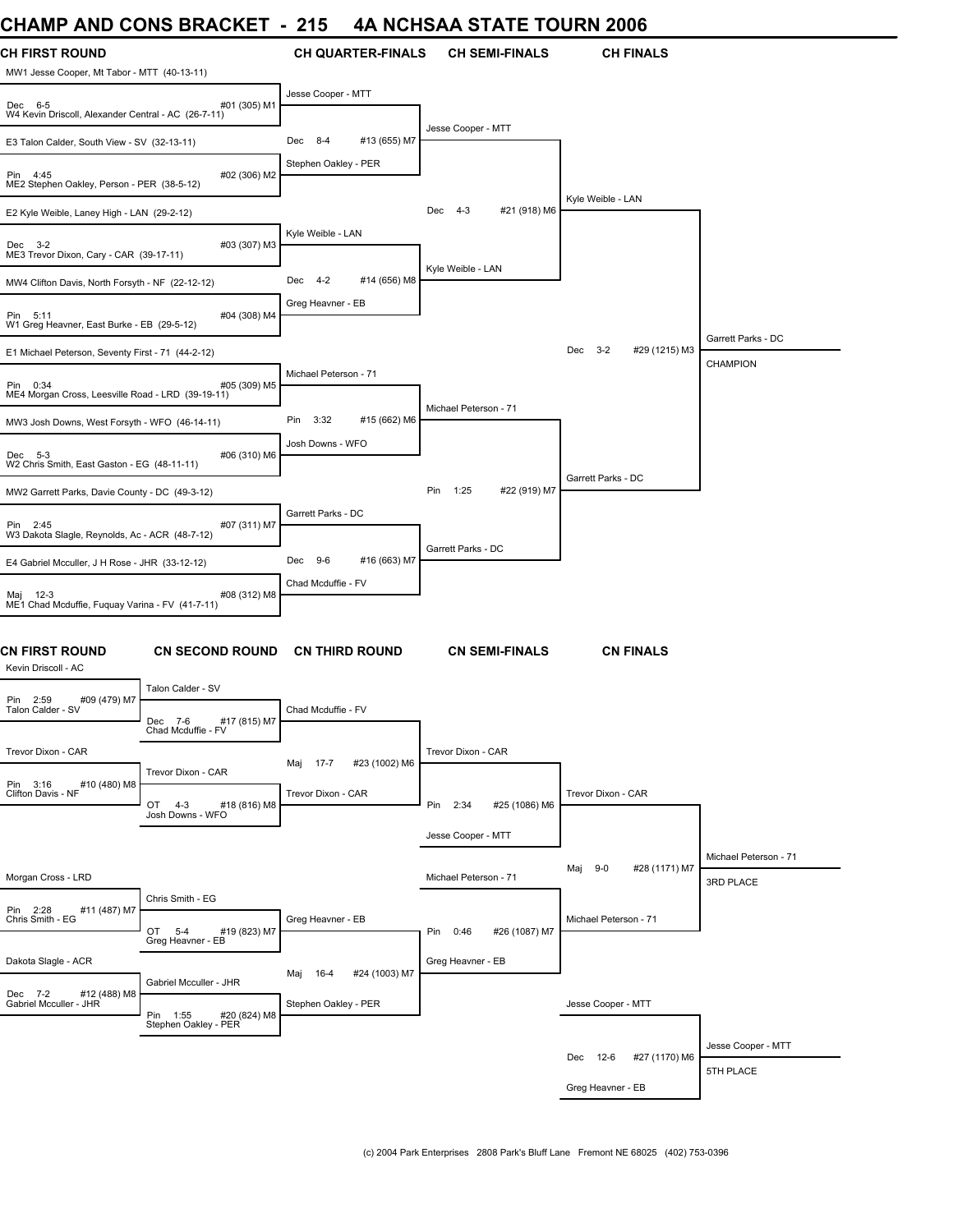# **CHAMP AND CONS BRACKET - 215 4A NCHSAA STATE TOURN 2006**

| UNAIVIL AND UUNJ DRAUNE I                                                      |                                                    | - 419                 |                          |                       |                                 | 4A NUNJAA JIAIE IUUKN 4000    |                                    |
|--------------------------------------------------------------------------------|----------------------------------------------------|-----------------------|--------------------------|-----------------------|---------------------------------|-------------------------------|------------------------------------|
| <b>CH FIRST ROUND</b><br>MW1 Jesse Cooper, Mt Tabor - MTT (40-13-11)           |                                                    |                       | <b>CH QUARTER-FINALS</b> | <b>CH SEMI-FINALS</b> |                                 | <b>CH FINALS</b>              |                                    |
| #01 (305) M1<br>Dec 6-5<br>W4 Kevin Driscoll, Alexander Central - AC (26-7-11) |                                                    | Jesse Cooper - MTT    |                          |                       |                                 |                               |                                    |
| E3 Talon Calder, South View - SV (32-13-11)                                    |                                                    | 8-4<br>Dec            | #13 (655) M7             | Jesse Cooper - MTT    |                                 |                               |                                    |
| #02 (306) M2<br>Pin 4:45<br>ME2 Stephen Oakley, Person - PER (38-5-12)         |                                                    | Stephen Oakley - PER  |                          |                       |                                 |                               |                                    |
| E2 Kyle Weible, Laney High - LAN (29-2-12)                                     |                                                    |                       |                          | $4 - 3$<br>Dec        | #21 (918) M6                    | Kyle Weible - LAN             |                                    |
| Dec 3-2<br>ME3 Trevor Dixon, Cary - CAR (39-17-11)                             | #03 (307) M3                                       | Kyle Weible - LAN     |                          |                       |                                 |                               |                                    |
| MW4 Clifton Davis, North Forsyth - NF (22-12-12)                               | Dec 4-2                                            | #14 (656) M8          | Kyle Weible - LAN        |                       |                                 |                               |                                    |
| #04 (308) M4<br>Pin 5:11<br>W1 Greg Heavner, East Burke - EB (29-5-12)         |                                                    | Greg Heavner - EB     |                          |                       |                                 |                               |                                    |
| E1 Michael Peterson, Seventy First - 71 (44-2-12)                              |                                                    |                       |                          |                       | $3 - 2$<br>#29 (1215) M3<br>Dec | Garrett Parks - DC            |                                    |
| Pin 0:34<br>#05 (309) M5<br>ME4 Morgan Cross, Leesville Road - LRD (39-19-11)  |                                                    | Michael Peterson - 71 |                          |                       |                                 |                               | CHAMPION                           |
| MW3 Josh Downs, West Forsyth - WFO (46-14-11)                                  | Pin<br>3:32                                        | #15 (662) M6          | Michael Peterson - 71    |                       |                                 |                               |                                    |
| #06 (310) M6<br>Dec 5-3<br>W2 Chris Smith, East Gaston - EG (48-11-11)         |                                                    | Josh Downs - WFO      |                          |                       |                                 |                               |                                    |
| MW2 Garrett Parks, Davie County - DC (49-3-12)                                 |                                                    |                       |                          | Pin<br>1:25           | #22 (919) M7                    | Garrett Parks - DC            |                                    |
| Pin 2:45<br>#07 (311) M7<br>W3 Dakota Slagle, Reynolds, Ac - ACR (48-7-12)     |                                                    | Garrett Parks - DC    |                          |                       |                                 |                               |                                    |
| E4 Gabriel Mcculler, J H Rose - JHR (33-12-12)                                 |                                                    | Dec 9-6               | #16 (663) M7             | Garrett Parks - DC    |                                 |                               |                                    |
| Maj 12-3<br>#08 (312) M8<br>ME1 Chad Mcduffie, Fuguay Varina - FV (41-7-11)    |                                                    | Chad Mcduffie - FV    |                          |                       |                                 |                               |                                    |
| CN FIRST ROUND<br><b>CN SECOND ROUND</b><br>Kevin Driscoll - AC                |                                                    |                       | <b>CN THIRD ROUND</b>    | <b>CN SEMI-FINALS</b> |                                 | <b>CN FINALS</b>              |                                    |
| Pin 2:59 ;<br>Talon Calder - SV<br>#09 (479) M7                                | Talon Calder - SV                                  |                       |                          |                       |                                 |                               |                                    |
|                                                                                | Dec 7-6<br>#17 (815) M7<br>Chad Mcduffie - FV      | Chad Mcduffie - FV    |                          |                       |                                 |                               |                                    |
| Trevor Dixon - CAR                                                             | Trevor Dixon - CAR                                 | Maj 17-7              | #23 (1002) M6            | Trevor Dixon - CAR    |                                 |                               |                                    |
| Pin 3:16<br>#10 (480) M8<br>Clifton Davis - NF                                 | OT<br>$4 - 3$<br>#18 (816) M8<br>Josh Downs - WFO  | Trevor Dixon - CAR    |                          | Pin 2:34              | #25 (1086) M6                   | Trevor Dixon - CAR            |                                    |
|                                                                                |                                                    |                       |                          | Jesse Cooper - MTT    |                                 |                               |                                    |
| Morgan Cross - LRD                                                             |                                                    |                       |                          | Michael Peterson - 71 |                                 | #28 (1171) M7<br>$9-0$<br>Maj | Michael Peterson - 71<br>3RD PLACE |
| Pin 2:28<br>Chris Smith - EG<br>#11 (487) M7                                   | Chris Smith - EG                                   |                       |                          |                       |                                 |                               |                                    |
|                                                                                | OT<br>$5 - 4$<br>#19 (823) M7<br>Greg Heavner - EB | Greg Heavner - EB     |                          | Pin 0:46              | #26 (1087) M7                   | Michael Peterson - 71         |                                    |
| Dakota Slagle - ACR                                                            | Gabriel Mcculler - JHR                             | 16-4<br>Maj           | #24 (1003) M7            | Greg Heavner - EB     |                                 |                               |                                    |
| Dec 7-2<br>#12 (488) M8<br>Gabriel Mcculler - JHR                              | Pin 1:55<br>#20 (824) M8<br>Stephen Oakley - PER   | Stephen Oakley - PER  |                          |                       |                                 | Jesse Cooper - MTT            |                                    |
|                                                                                |                                                    |                       |                          |                       |                                 |                               | Jesse Cooper - MTT                 |
|                                                                                |                                                    |                       |                          |                       |                                 | Dec 12-6<br>#27 (1170) M6     | 5TH PLACE                          |
|                                                                                |                                                    |                       |                          |                       |                                 | Greg Heavner - EB             |                                    |